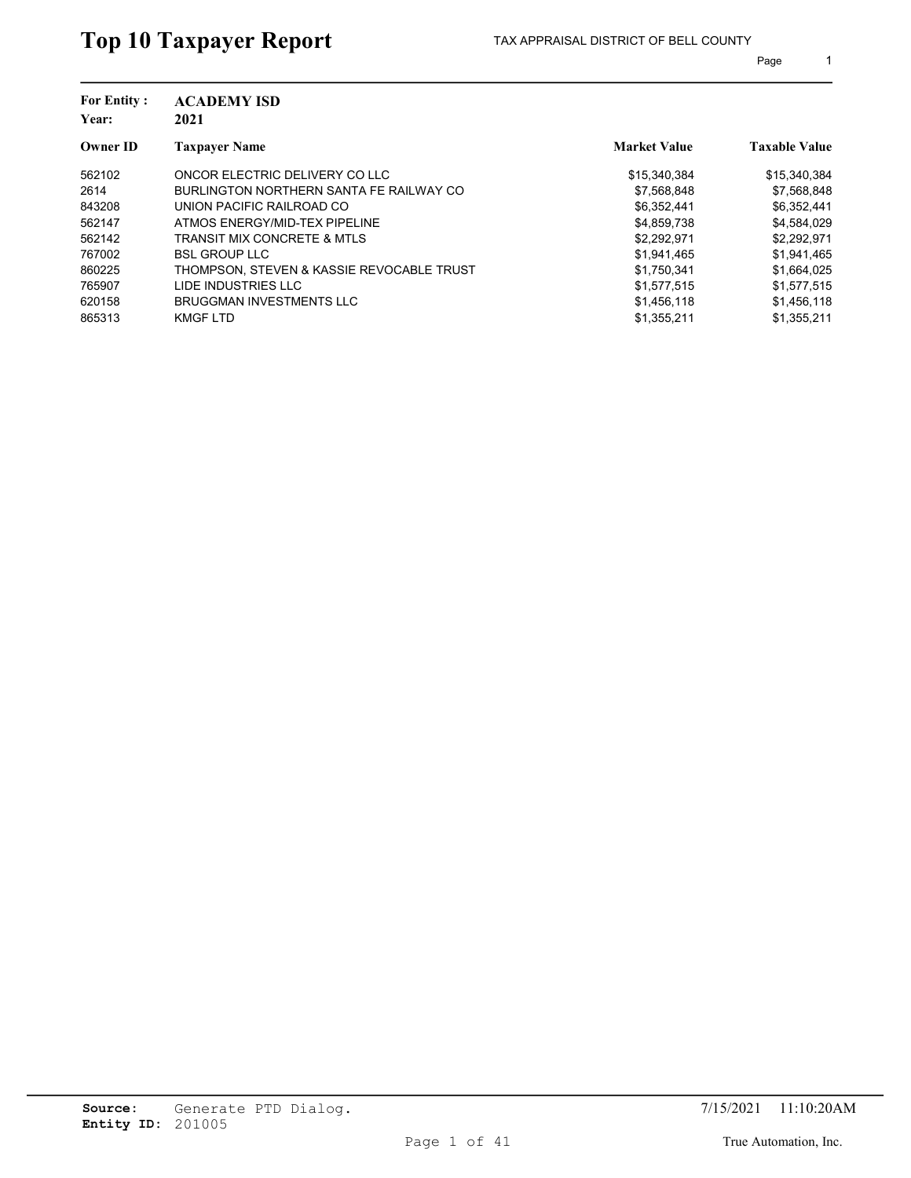| <b>For Entity:</b><br>Year: | <b>ACADEMY ISD</b><br>2021                |                     |                      |
|-----------------------------|-------------------------------------------|---------------------|----------------------|
| <b>Owner ID</b>             | <b>Taxpayer Name</b>                      | <b>Market Value</b> | <b>Taxable Value</b> |
| 562102                      | ONCOR ELECTRIC DELIVERY CO LLC            | \$15,340,384        | \$15,340,384         |
| 2614                        | BURLINGTON NORTHERN SANTA FE RAILWAY CO   | \$7,568,848         | \$7,568,848          |
| 843208                      | UNION PACIFIC RAILROAD CO                 | \$6,352,441         | \$6,352,441          |
| 562147                      | ATMOS ENERGY/MID-TEX PIPELINE             | \$4,859,738         | \$4,584,029          |
| 562142                      | TRANSIT MIX CONCRETE & MTLS               | \$2,292,971         | \$2,292,971          |
| 767002                      | <b>BSL GROUP LLC</b>                      | \$1,941,465         | \$1,941,465          |
| 860225                      | THOMPSON. STEVEN & KASSIE REVOCABLE TRUST | \$1,750,341         | \$1,664,025          |
| 765907                      | LIDE INDUSTRIES LLC                       | \$1.577.515         | \$1,577,515          |
| 620158                      | <b>BRUGGMAN INVESTMENTS LLC</b>           | \$1.456.118         | \$1,456,118          |
| 865313                      | <b>KMGF LTD</b>                           | \$1,355,211         | \$1,355,211          |
|                             |                                           |                     |                      |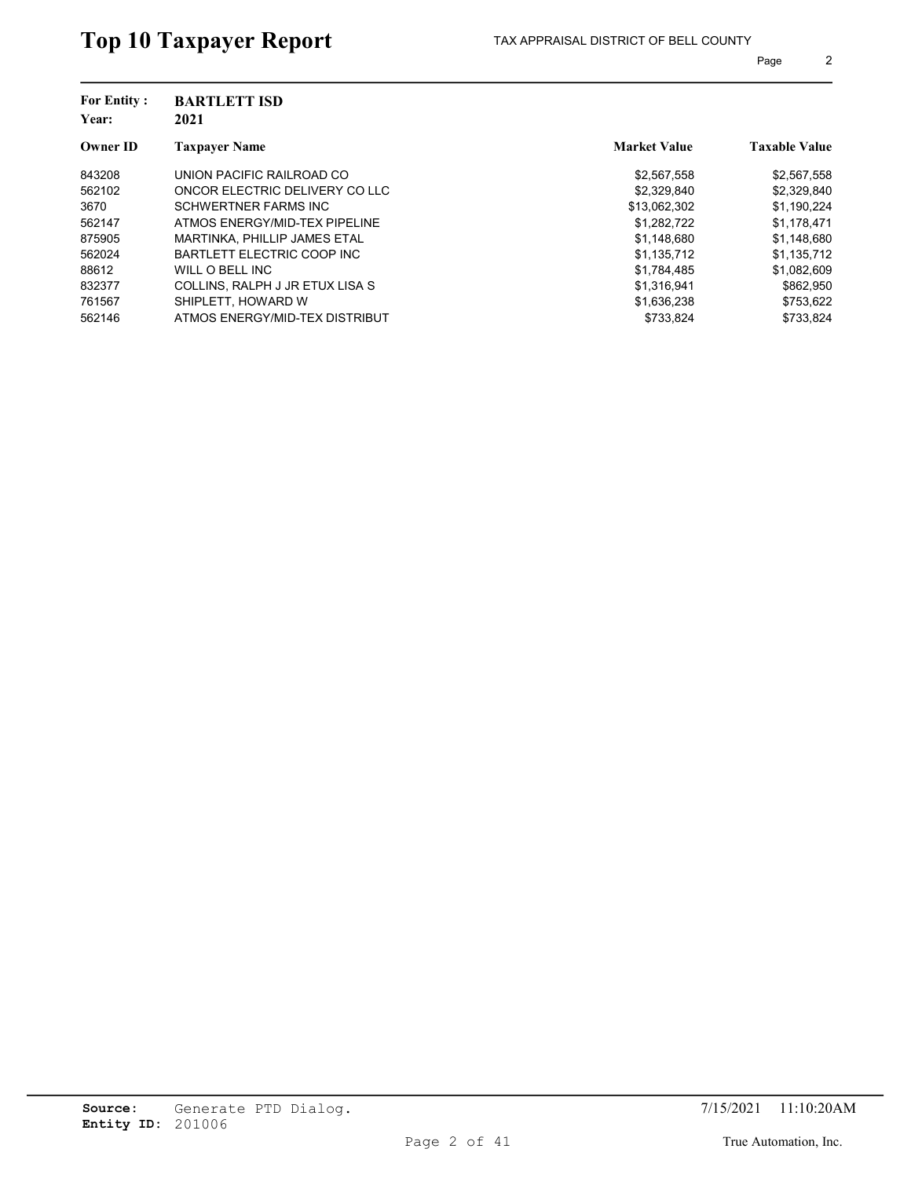| <b>For Entity:</b><br>Year: | <b>BARTLETT ISD</b><br>2021     |                     |                      |
|-----------------------------|---------------------------------|---------------------|----------------------|
| Owner ID                    | <b>Taxpayer Name</b>            | <b>Market Value</b> | <b>Taxable Value</b> |
| 843208                      | UNION PACIFIC RAILROAD CO       | \$2,567,558         | \$2,567,558          |
| 562102                      | ONCOR ELECTRIC DELIVERY CO LLC  | \$2,329,840         | \$2,329,840          |
| 3670                        | SCHWERTNER FARMS INC            | \$13.062.302        | \$1.190.224          |
| 562147                      | ATMOS ENERGY/MID-TEX PIPELINE   | \$1,282,722         | \$1,178,471          |
| 875905                      | MARTINKA, PHILLIP JAMES ETAL    | \$1,148,680         | \$1,148,680          |
| 562024                      | BARTLETT ELECTRIC COOP INC      | \$1.135.712         | \$1,135,712          |
| 88612                       | WILL O BELL INC                 | \$1,784,485         | \$1,082,609          |
| 832377                      | COLLINS, RALPH J JR ETUX LISA S | \$1.316.941         | \$862.950            |
| 761567                      | SHIPLETT, HOWARD W              | \$1,636,238         | \$753,622            |
| 562146                      | ATMOS ENERGY/MID-TEX DISTRIBUT  | \$733,824           | \$733.824            |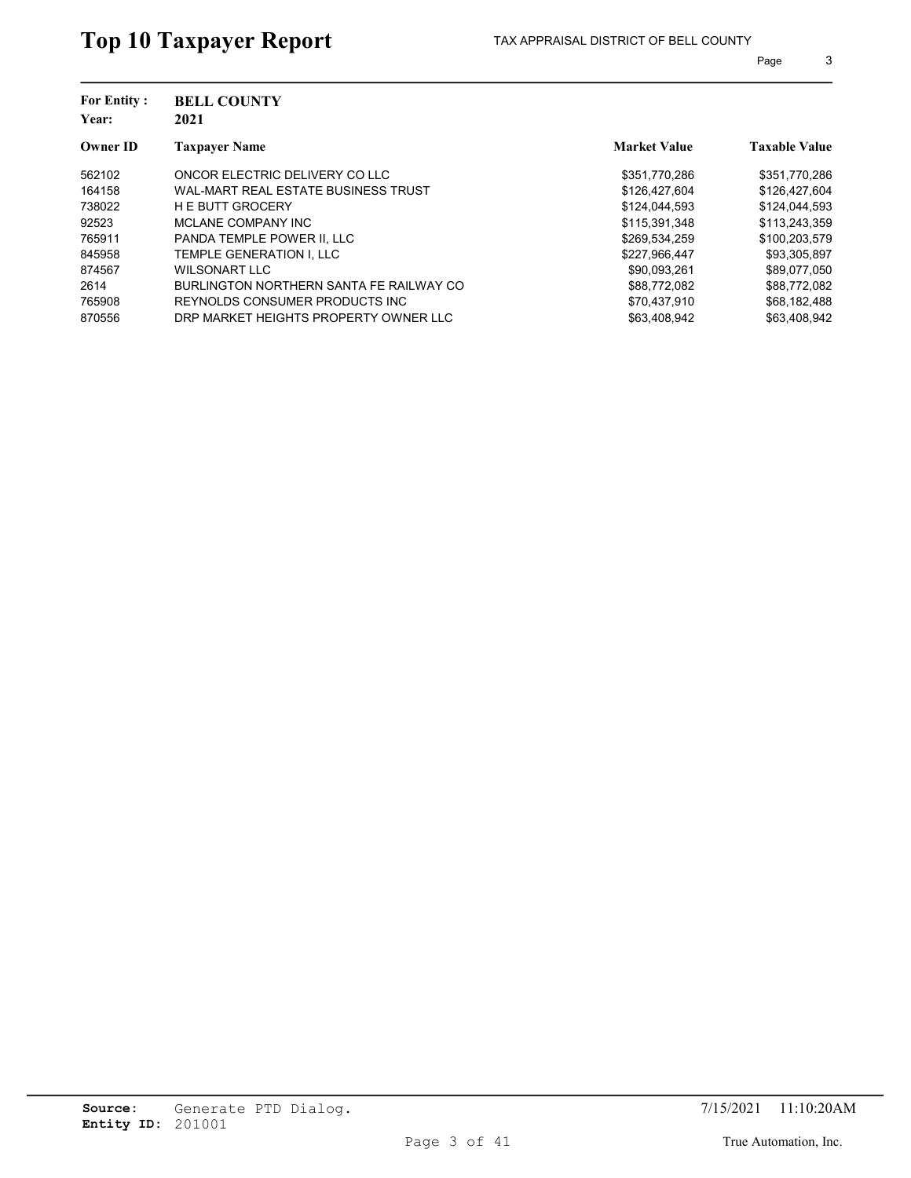| <b>For Entity:</b><br>Year: | <b>BELL COUNTY</b><br>2021              |                     |                      |
|-----------------------------|-----------------------------------------|---------------------|----------------------|
| <b>Owner ID</b>             | <b>Taxpaver Name</b>                    | <b>Market Value</b> | <b>Taxable Value</b> |
| 562102                      | ONCOR ELECTRIC DELIVERY CO LLC          | \$351.770.286       | \$351,770,286        |
| 164158                      | WAL-MART REAL ESTATE BUSINESS TRUST     | \$126,427,604       | \$126,427,604        |
| 738022                      | <b>HE BUTT GROCERY</b>                  | \$124,044.593       | \$124,044.593        |
| 92523                       | MCLANE COMPANY INC                      | \$115,391,348       | \$113,243,359        |
| 765911                      | PANDA TEMPLE POWER II. LLC              | \$269,534,259       | \$100,203,579        |
| 845958                      | TEMPLE GENERATION I. LLC                | \$227.966.447       | \$93,305,897         |
| 874567                      | WILSONART LLC                           | \$90.093.261        | \$89,077,050         |
| 2614                        | BURLINGTON NORTHERN SANTA FE RAILWAY CO | \$88.772.082        | \$88.772.082         |
| 765908                      | REYNOLDS CONSUMER PRODUCTS INC.         | \$70,437,910        | \$68,182,488         |
| 870556                      | DRP MARKET HEIGHTS PROPERTY OWNER LLC   | \$63,408,942        | \$63.408.942         |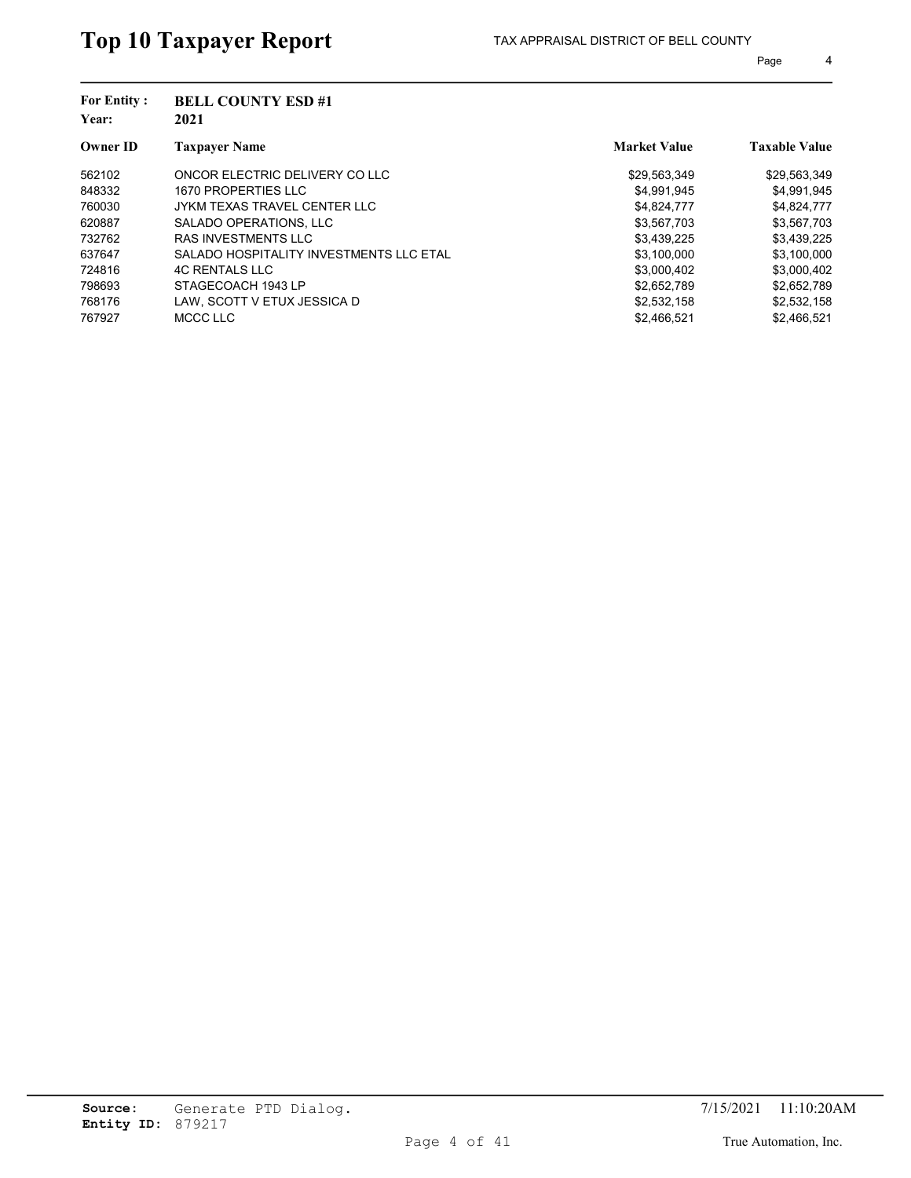| <b>BELL COUNTY ESD #1</b>               |                     |                      |
|-----------------------------------------|---------------------|----------------------|
| <b>Taxpayer Name</b>                    | <b>Market Value</b> | <b>Taxable Value</b> |
| ONCOR ELECTRIC DELIVERY CO LLC          | \$29,563,349        | \$29,563,349         |
| 1670 PROPERTIES LLC                     | \$4,991,945         | \$4,991,945          |
| JYKM TEXAS TRAVEL CENTER LLC            | \$4,824,777         | \$4,824,777          |
| SALADO OPERATIONS, LLC                  | \$3,567,703         | \$3,567,703          |
| <b>RAS INVESTMENTS LLC</b>              | \$3,439,225         | \$3,439,225          |
| SALADO HOSPITALITY INVESTMENTS LLC ETAL | \$3,100,000         | \$3,100,000          |
| <b>4C RENTALS LLC</b>                   | \$3,000,402         | \$3,000,402          |
| STAGECOACH 1943 LP                      | \$2.652.789         | \$2,652,789          |
| LAW. SCOTT V ETUX JESSICA D             | \$2,532,158         | \$2,532,158          |
| MCCC LLC                                | \$2.466.521         | \$2.466.521          |
|                                         | 2021                |                      |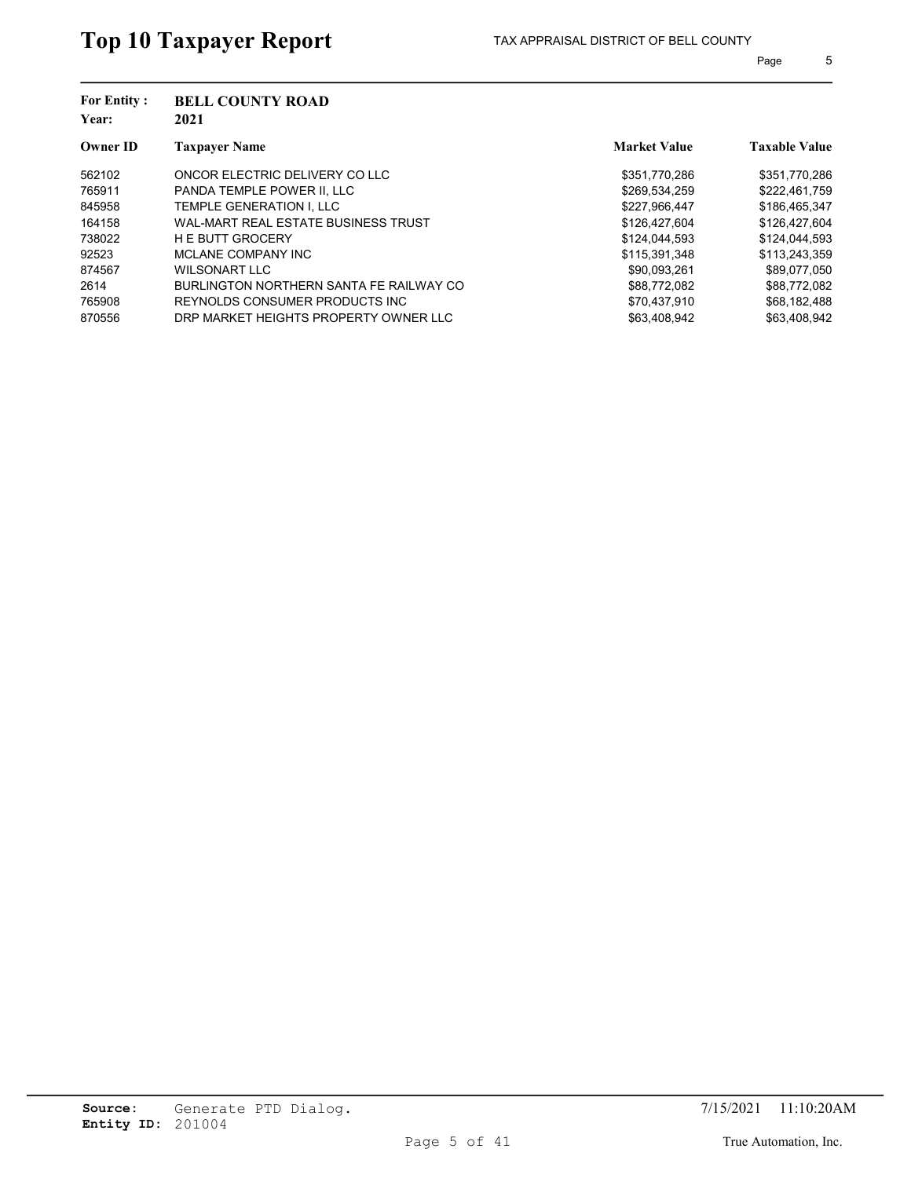| <b>For Entity:</b><br>Year: | <b>BELL COUNTY ROAD</b><br>2021         |                     |                      |  |
|-----------------------------|-----------------------------------------|---------------------|----------------------|--|
| <b>Owner ID</b>             | <b>Taxpayer Name</b>                    | <b>Market Value</b> | <b>Taxable Value</b> |  |
| 562102                      | ONCOR ELECTRIC DELIVERY CO LLC          | \$351,770,286       | \$351,770,286        |  |
| 765911                      | PANDA TEMPLE POWER II. LLC              | \$269,534,259       | \$222,461,759        |  |
| 845958                      | TEMPLE GENERATION I. LLC                | \$227.966.447       | \$186,465,347        |  |
| 164158                      | WAL-MART REAL ESTATE BUSINESS TRUST     | \$126,427,604       | \$126,427,604        |  |
| 738022                      | <b>H E BUTT GROCERY</b>                 | \$124,044,593       | \$124,044,593        |  |
| 92523                       | MCLANE COMPANY INC                      | \$115,391,348       | \$113,243,359        |  |
| 874567                      | WILSONART LLC                           | \$90.093.261        | \$89.077.050         |  |
| 2614                        | BURLINGTON NORTHERN SANTA FE RAILWAY CO | \$88.772.082        | \$88.772.082         |  |
| 765908                      | REYNOLDS CONSUMER PRODUCTS INC.         | \$70.437.910        | \$68,182,488         |  |
| 870556                      | DRP MARKET HEIGHTS PROPERTY OWNER LLC   | \$63.408.942        | \$63.408.942         |  |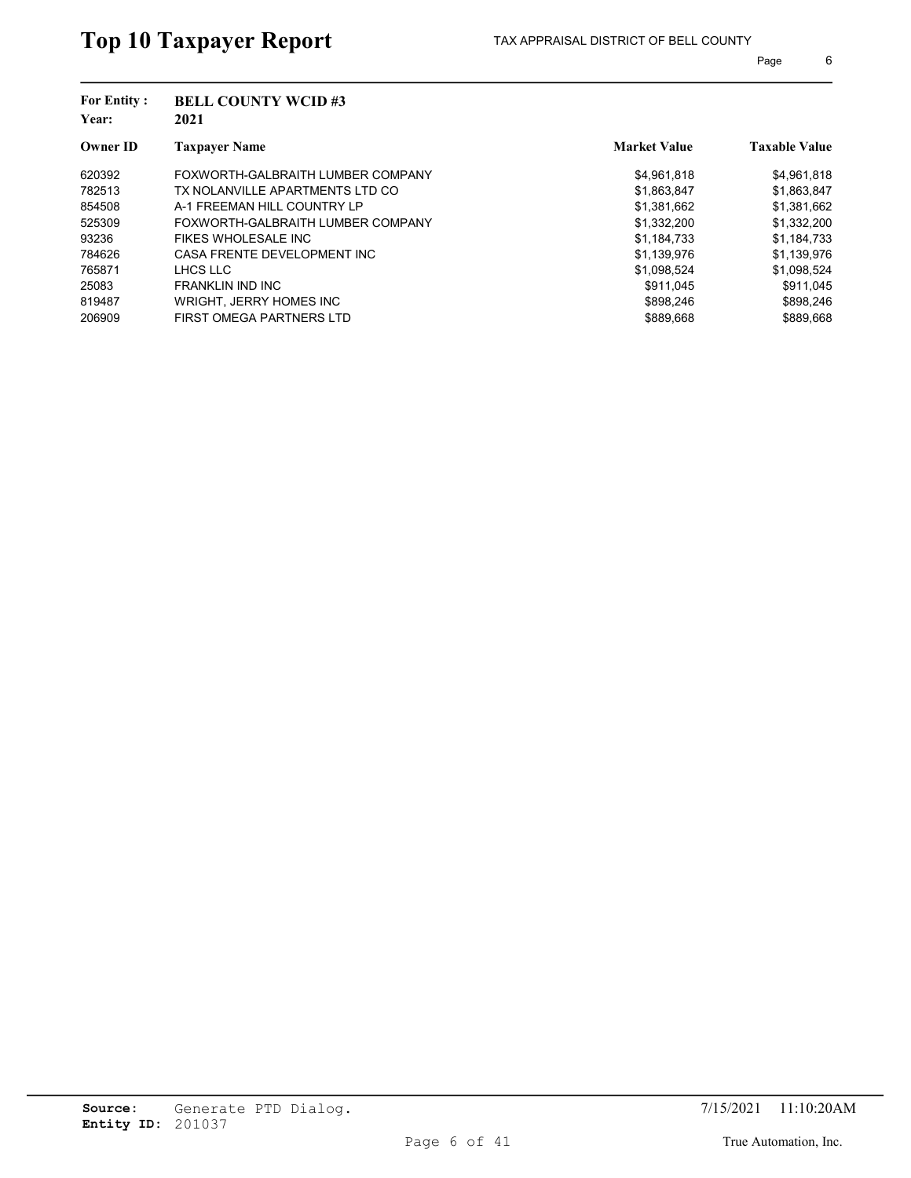| <b>BELL COUNTY WCID#3</b><br>2021 |                     |                      |
|-----------------------------------|---------------------|----------------------|
| <b>Taxpayer Name</b>              | <b>Market Value</b> | <b>Taxable Value</b> |
| FOXWORTH-GALBRAITH LUMBER COMPANY | \$4.961.818         | \$4,961,818          |
| TX NOLANVILLE APARTMENTS LTD CO   | \$1,863,847         | \$1,863,847          |
| A-1 FREEMAN HILL COUNTRY LP       | \$1.381.662         | \$1,381,662          |
| FOXWORTH-GALBRAITH LUMBER COMPANY | \$1.332.200         | \$1,332,200          |
| FIKES WHOLESALE INC               | \$1,184,733         | \$1,184,733          |
| CASA FRENTE DEVELOPMENT INC       | \$1,139,976         | \$1,139,976          |
| LHCS LLC                          | \$1,098,524         | \$1,098,524          |
| <b>FRANKLIN IND INC</b>           | \$911.045           | \$911.045            |
| WRIGHT, JERRY HOMES INC           | \$898.246           | \$898,246            |
| FIRST OMEGA PARTNERS LTD          | \$889.668           | \$889.668            |
|                                   |                     |                      |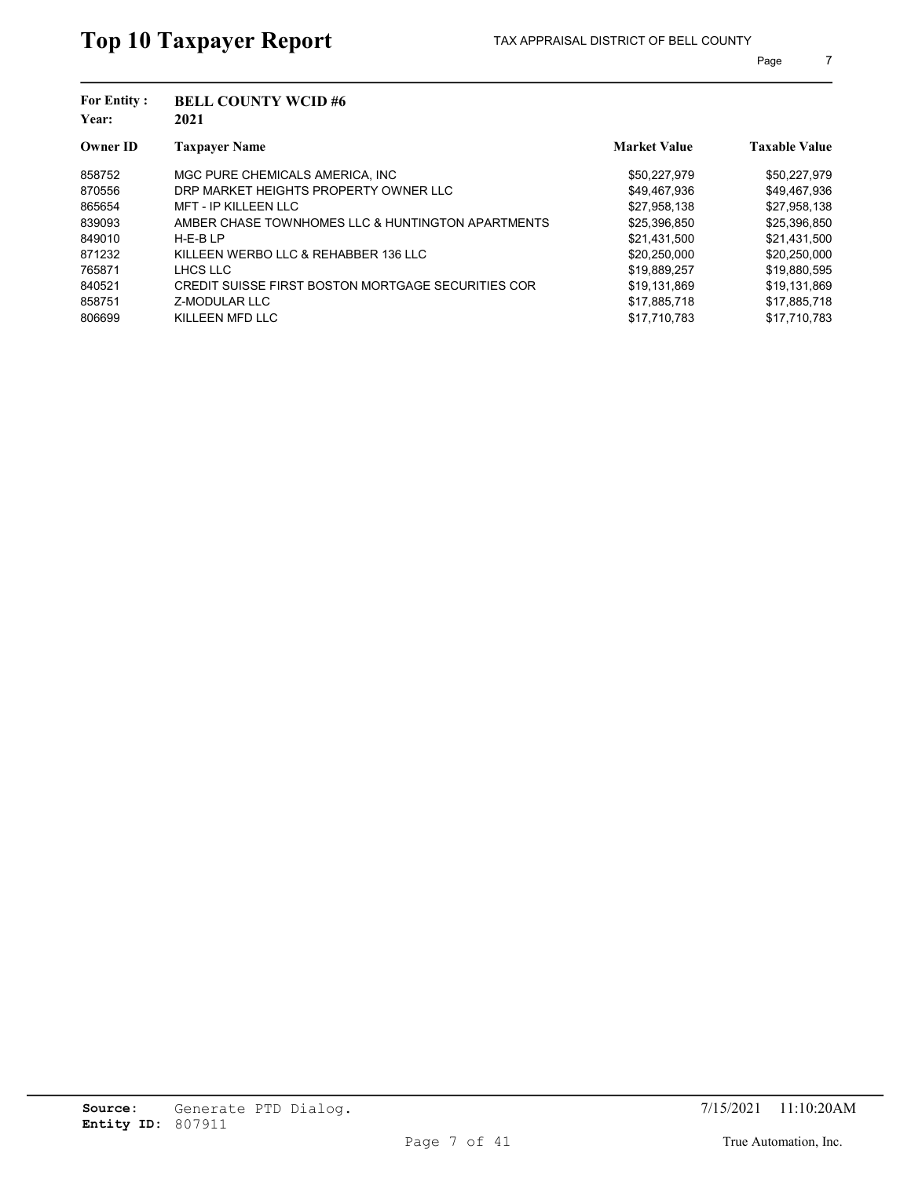| <b>For Entity:</b><br>Year: | <b>BELL COUNTY WCID#6</b><br>2021                  |                     |                      |  |
|-----------------------------|----------------------------------------------------|---------------------|----------------------|--|
| <b>Owner ID</b>             | <b>Taxpayer Name</b>                               | <b>Market Value</b> | <b>Taxable Value</b> |  |
| 858752                      | MGC PURE CHEMICALS AMERICA. INC.                   | \$50,227,979        | \$50,227,979         |  |
| 870556                      | DRP MARKET HEIGHTS PROPERTY OWNER LLC              | \$49,467,936        | \$49,467,936         |  |
| 865654                      | <b>MFT - IP KILLEEN LLC</b>                        | \$27,958,138        | \$27,958,138         |  |
| 839093                      | AMBER CHASE TOWNHOMES LLC & HUNTINGTON APARTMENTS  | \$25,396,850        | \$25,396,850         |  |
| 849010                      | $H-E-BLP$                                          | \$21,431,500        | \$21,431,500         |  |
| 871232                      | KILLEEN WERBO LLC & REHABBER 136 LLC               | \$20,250,000        | \$20,250,000         |  |
| 765871                      | LHCS LLC                                           | \$19,889,257        | \$19,880,595         |  |
| 840521                      | CREDIT SUISSE FIRST BOSTON MORTGAGE SECURITIES COR | \$19.131.869        | \$19.131.869         |  |
| 858751                      | Z-MODULAR LLC                                      | \$17.885.718        | \$17,885,718         |  |
| 806699                      | KILLEEN MFD LLC                                    | \$17.710.783        | \$17.710.783         |  |
|                             |                                                    |                     |                      |  |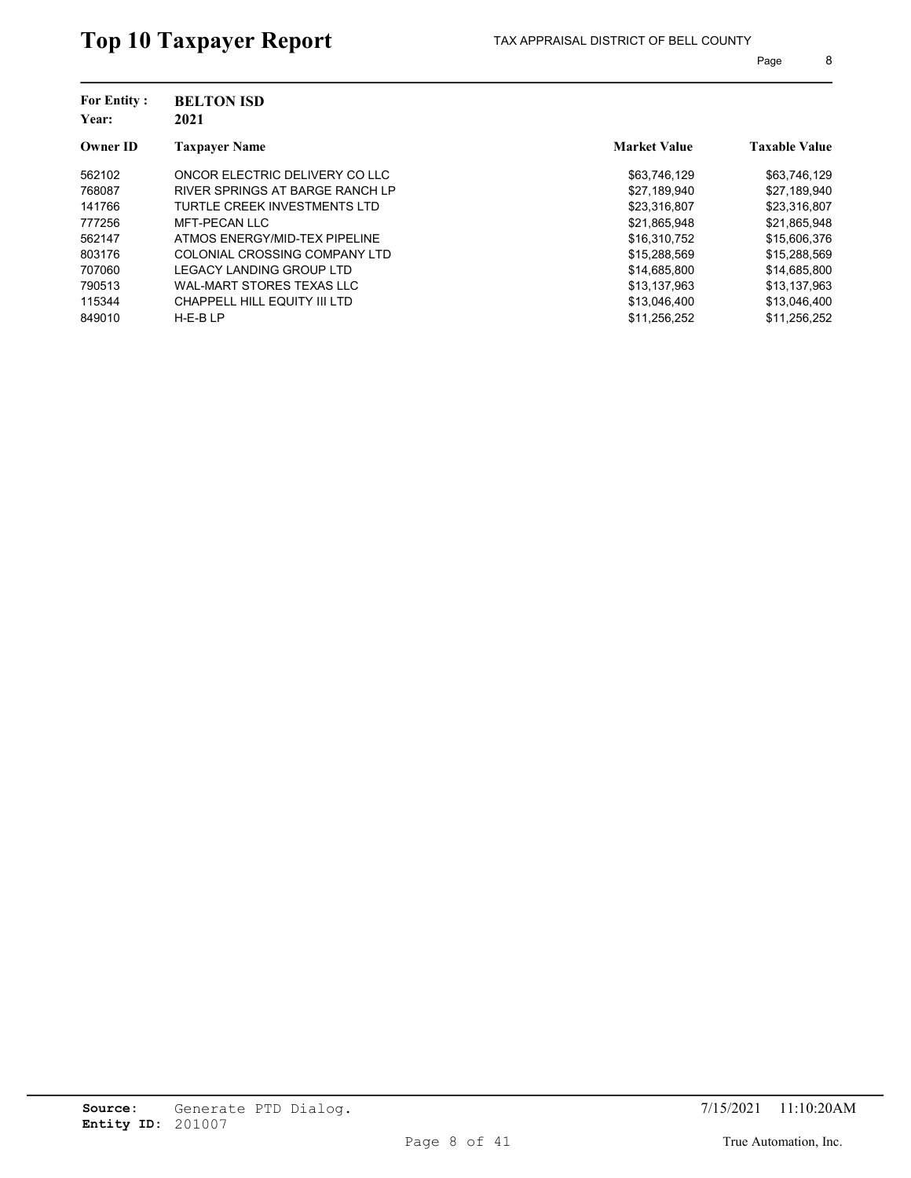| <b>For Entity:</b><br>Year: | <b>BELTON ISD</b><br>2021        |                     |                      |
|-----------------------------|----------------------------------|---------------------|----------------------|
| <b>Owner ID</b>             | <b>Taxpayer Name</b>             | <b>Market Value</b> | <b>Taxable Value</b> |
| 562102                      | ONCOR ELECTRIC DELIVERY CO LLC   | \$63,746,129        | \$63,746,129         |
| 768087                      | RIVER SPRINGS AT BARGE RANCH LP  | \$27,189,940        | \$27,189,940         |
| 141766                      | TURTLE CREEK INVESTMENTS LTD     | \$23,316,807        | \$23,316,807         |
| 777256                      | MFT-PECAN LLC                    | \$21,865,948        | \$21,865,948         |
| 562147                      | ATMOS ENERGY/MID-TEX PIPELINE    | \$16,310,752        | \$15,606,376         |
| 803176                      | COLONIAL CROSSING COMPANY LTD    | \$15,288,569        | \$15,288,569         |
| 707060                      | LEGACY LANDING GROUP LTD         | \$14,685,800        | \$14,685,800         |
| 790513                      | <b>WAL-MART STORES TEXAS LLC</b> | \$13.137.963        | \$13.137.963         |
| 115344                      | CHAPPELL HILL EQUITY III LTD     | \$13,046,400        | \$13,046,400         |
| 849010                      | $H-E-BLP$                        | \$11,256,252        | \$11.256.252         |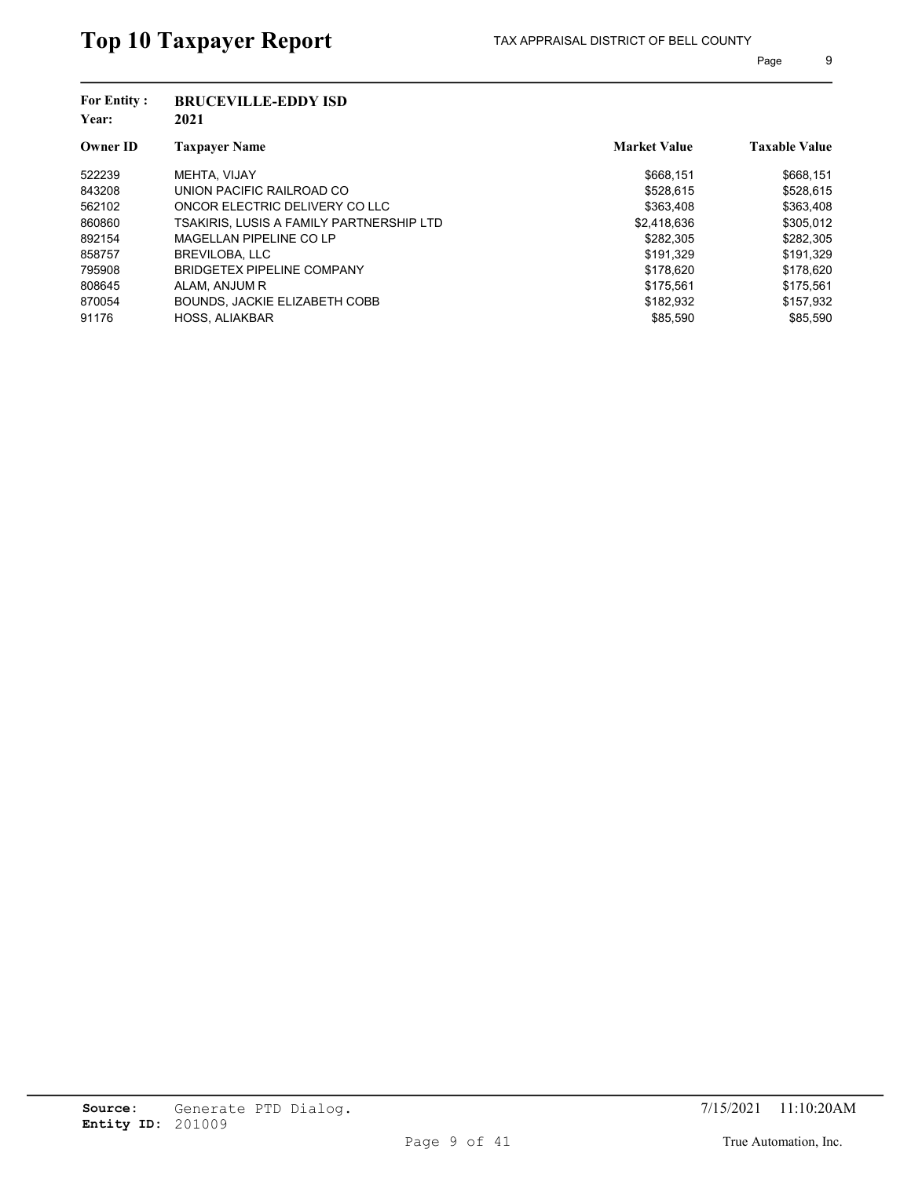| <b>BRUCEVILLE-EDDY ISD</b>               |                     |                      |
|------------------------------------------|---------------------|----------------------|
| <b>Taxpayer Name</b>                     | <b>Market Value</b> | <b>Taxable Value</b> |
| MEHTA, VIJAY                             | \$668.151           | \$668,151            |
| UNION PACIFIC RAILROAD CO                | \$528,615           | \$528,615            |
| ONCOR ELECTRIC DELIVERY CO LLC           | \$363,408           | \$363,408            |
| TSAKIRIS. LUSIS A FAMILY PARTNERSHIP LTD | \$2,418,636         | \$305,012            |
| MAGELLAN PIPELINE CO LP                  | \$282.305           | \$282,305            |
| BREVILOBA, LLC                           | \$191,329           | \$191,329            |
| <b>BRIDGETEX PIPELINE COMPANY</b>        | \$178.620           | \$178,620            |
| ALAM, ANJUM R                            | \$175.561           | \$175.561            |
| BOUNDS. JACKIE ELIZABETH COBB            | \$182.932           | \$157,932            |
| <b>HOSS, ALIAKBAR</b>                    | \$85,590            | \$85.590             |
|                                          | 2021                |                      |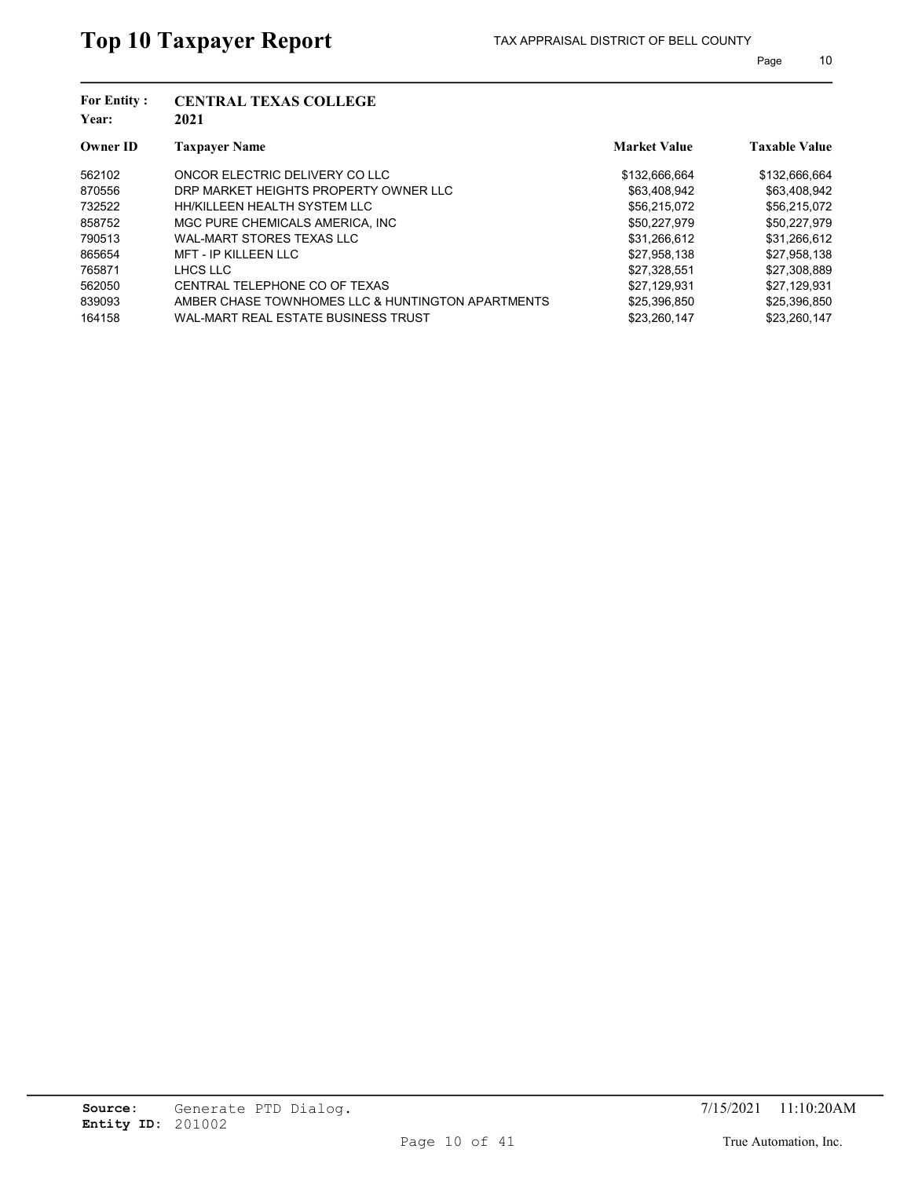| <b>For Entity:</b><br>Year: | <b>CENTRAL TEXAS COLLEGE</b><br>2021              |                     |                      |
|-----------------------------|---------------------------------------------------|---------------------|----------------------|
| <b>Owner ID</b>             | <b>Taxpayer Name</b>                              | <b>Market Value</b> | <b>Taxable Value</b> |
| 562102                      | ONCOR ELECTRIC DELIVERY CO LLC                    | \$132,666,664       | \$132,666,664        |
| 870556                      | DRP MARKET HEIGHTS PROPERTY OWNER LLC             | \$63,408,942        | \$63,408,942         |
| 732522                      | HH/KILLEEN HEALTH SYSTEM LLC                      | \$56.215.072        | \$56.215.072         |
| 858752                      | MGC PURE CHEMICALS AMERICA. INC.                  | \$50,227,979        | \$50,227,979         |
| 790513                      | WAL-MART STORES TEXAS LLC                         | \$31,266,612        | \$31,266,612         |
| 865654                      | <b>MFT - IP KILLEEN LLC</b>                       | \$27,958,138        | \$27,958,138         |
| 765871                      | LHCS LLC                                          | \$27.328.551        | \$27,308,889         |
| 562050                      | CENTRAL TELEPHONE CO OF TEXAS                     | \$27.129.931        | \$27.129.931         |
| 839093                      | AMBER CHASE TOWNHOMES LLC & HUNTINGTON APARTMENTS | \$25,396,850        | \$25,396,850         |
| 164158                      | WAL-MART REAL ESTATE BUSINESS TRUST               | \$23.260.147        | \$23.260.147         |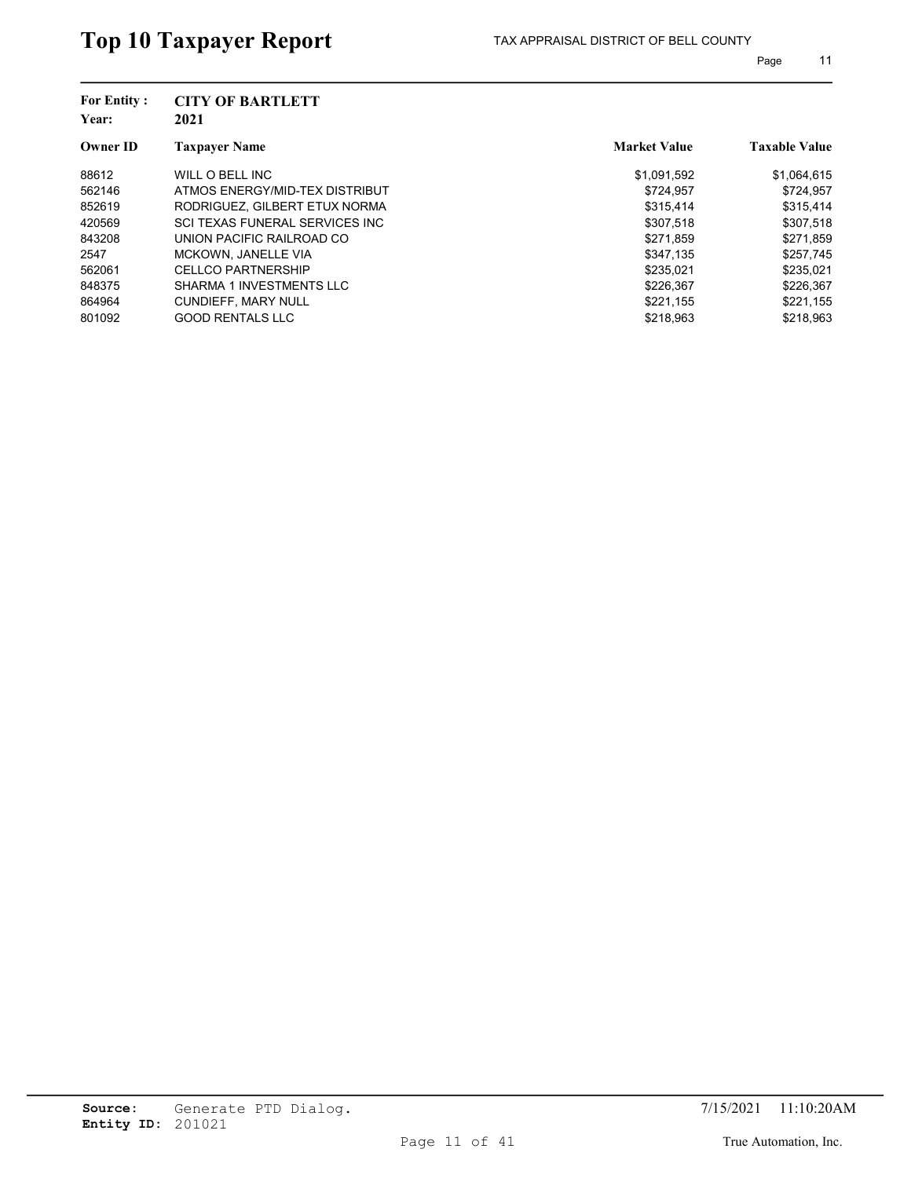| <b>For Entity:</b><br>Year: | <b>CITY OF BARTLETT</b><br>2021 |                     |                      |
|-----------------------------|---------------------------------|---------------------|----------------------|
| <b>Owner ID</b>             | <b>Taxpayer Name</b>            | <b>Market Value</b> | <b>Taxable Value</b> |
| 88612                       | WILL O BELL INC                 | \$1,091,592         | \$1,064,615          |
| 562146                      | ATMOS ENERGY/MID-TEX DISTRIBUT  | \$724,957           | \$724,957            |
| 852619                      | RODRIGUEZ, GILBERT ETUX NORMA   | \$315.414           | \$315,414            |
| 420569                      | SCI TEXAS FUNERAL SERVICES INC  | \$307,518           | \$307,518            |
| 843208                      | UNION PACIFIC RAILROAD CO       | \$271,859           | \$271,859            |
| 2547                        | <b>MCKOWN, JANELLE VIA</b>      | \$347,135           | \$257,745            |
| 562061                      | <b>CELLCO PARTNERSHIP</b>       | \$235.021           | \$235,021            |
| 848375                      | SHARMA 1 INVESTMENTS LLC        | \$226.367           | \$226,367            |
| 864964                      | <b>CUNDIEFF, MARY NULL</b>      | \$221,155           | \$221,155            |
| 801092                      | <b>GOOD RENTALS LLC</b>         | \$218.963           | \$218.963            |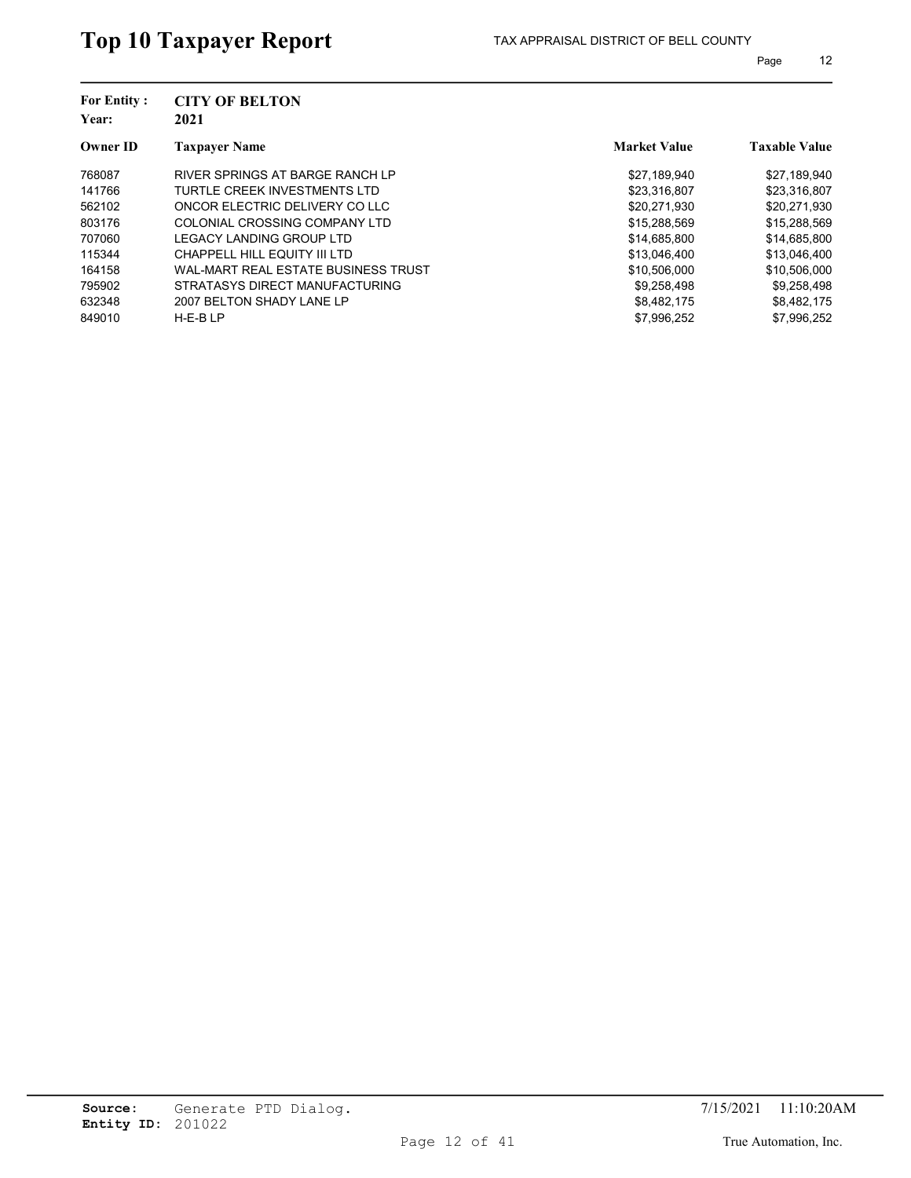| <b>For Entity:</b><br>Year: | <b>CITY OF BELTON</b><br>2021       | <b>Market Value</b> |                      |
|-----------------------------|-------------------------------------|---------------------|----------------------|
| <b>Owner ID</b>             | <b>Taxpayer Name</b>                |                     | <b>Taxable Value</b> |
| 768087                      | RIVER SPRINGS AT BARGE RANCH LP     | \$27,189,940        | \$27,189,940         |
| 141766                      | TURTLE CREEK INVESTMENTS LTD        | \$23,316,807        | \$23,316,807         |
| 562102                      | ONCOR ELECTRIC DELIVERY CO LLC      | \$20.271.930        | \$20.271.930         |
| 803176                      | COLONIAL CROSSING COMPANY LTD       | \$15,288,569        | \$15,288,569         |
| 707060                      | LEGACY LANDING GROUP LTD            | \$14,685,800        | \$14,685,800         |
| 115344                      | CHAPPELL HILL EQUITY III LTD        | \$13,046,400        | \$13,046,400         |
| 164158                      | WAL-MART REAL ESTATE BUSINESS TRUST | \$10,506,000        | \$10,506,000         |
| 795902                      | STRATASYS DIRECT MANUFACTURING      | \$9.258.498         | \$9.258.498          |
| 632348                      | 2007 BELTON SHADY LANE LP           | \$8,482,175         | \$8,482,175          |
| 849010                      | $H-E-BLP$                           | \$7.996.252         | \$7.996.252          |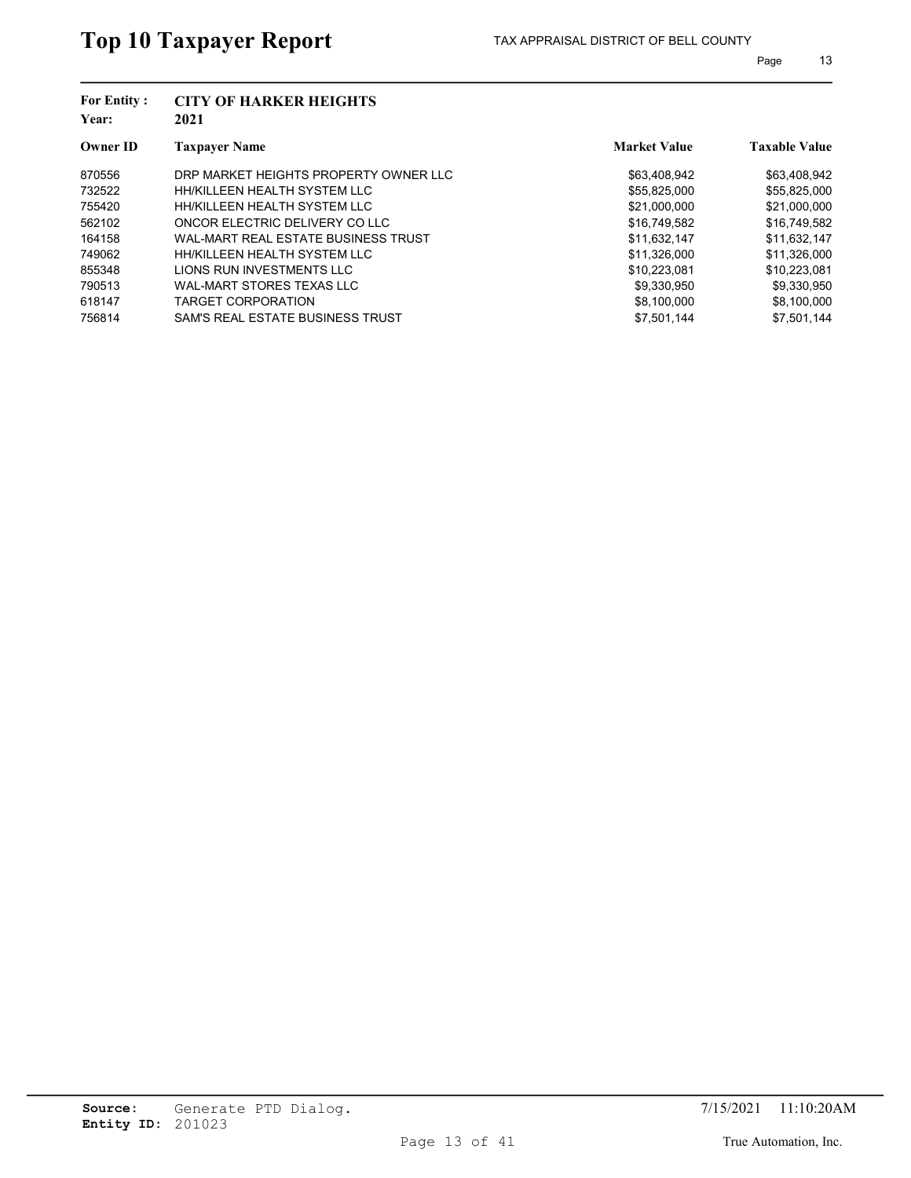| <b>CITY OF HARKER HEIGHTS</b><br>2021 |                     |                      |
|---------------------------------------|---------------------|----------------------|
| <b>Taxpayer Name</b>                  | <b>Market Value</b> | <b>Taxable Value</b> |
| DRP MARKET HEIGHTS PROPERTY OWNER LLC | \$63,408,942        | \$63,408,942         |
| HH/KILLEEN HEALTH SYSTEM LLC          | \$55,825,000        | \$55,825,000         |
| HH/KILLEEN HEALTH SYSTEM LLC          | \$21,000,000        | \$21,000,000         |
| ONCOR ELECTRIC DELIVERY CO LLC        | \$16,749,582        | \$16,749,582         |
| WAL-MART REAL ESTATE BUSINESS TRUST   | \$11,632,147        | \$11,632,147         |
| HH/KILLEEN HEALTH SYSTEM LLC          | \$11,326,000        | \$11,326,000         |
| LIONS RUN INVESTMENTS LLC             | \$10,223,081        | \$10,223,081         |
| WAL-MART STORES TEXAS LLC             | \$9.330.950         | \$9,330,950          |
| <b>TARGET CORPORATION</b>             | \$8,100,000         | \$8,100,000          |
| SAM'S REAL ESTATE BUSINESS TRUST      | \$7.501.144         | \$7.501.144          |
|                                       |                     |                      |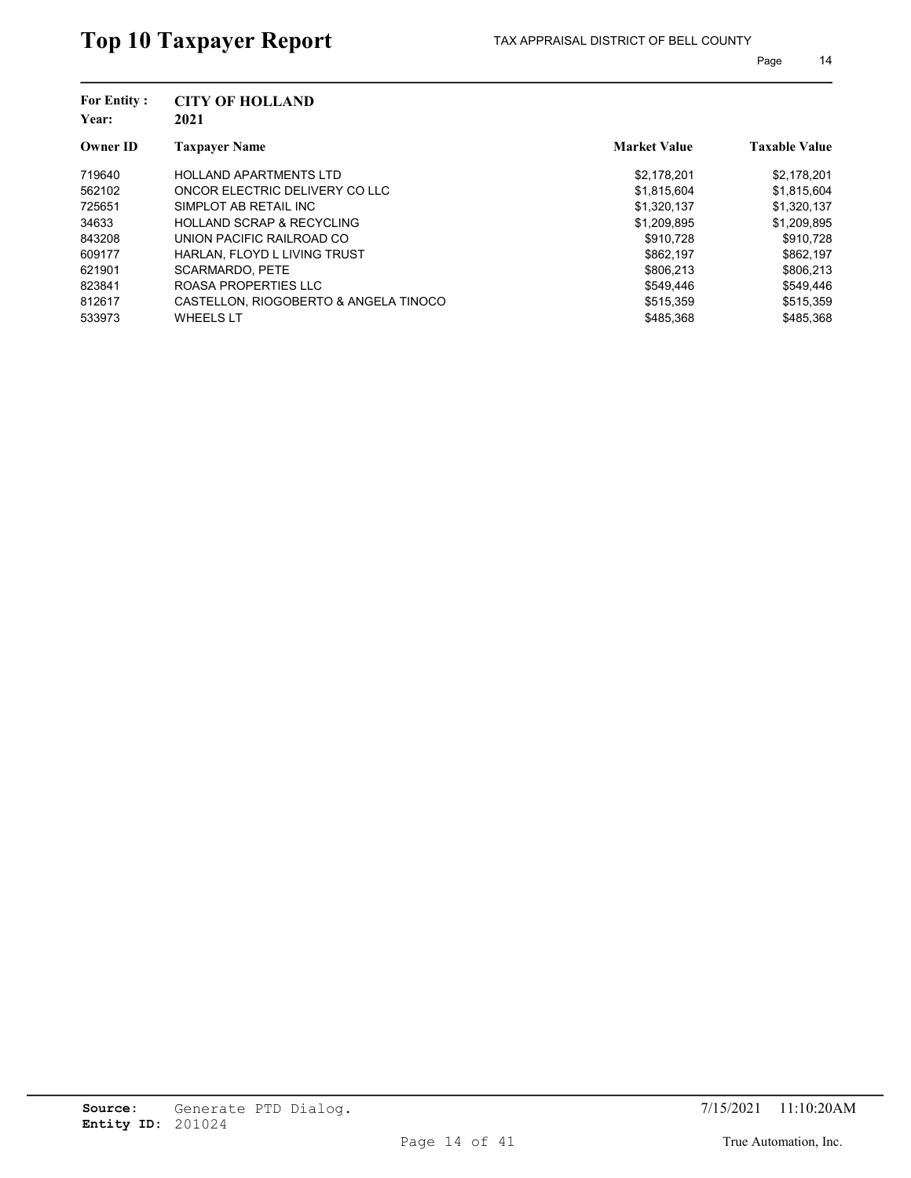| <b>For Entity:</b><br>Year: | <b>CITY OF HOLLAND</b><br>2021        |                     |                      |
|-----------------------------|---------------------------------------|---------------------|----------------------|
| <b>Owner ID</b>             | <b>Taxpayer Name</b>                  | <b>Market Value</b> | <b>Taxable Value</b> |
| 719640                      | <b>HOLLAND APARTMENTS LTD</b>         | \$2,178,201         | \$2,178,201          |
| 562102                      | ONCOR ELECTRIC DELIVERY CO LLC        | \$1,815,604         | \$1,815,604          |
| 725651                      | SIMPLOT AB RETAIL INC                 | \$1,320,137         | \$1,320,137          |
| 34633                       | <b>HOLLAND SCRAP &amp; RECYCLING</b>  | \$1,209,895         | \$1,209,895          |
| 843208                      | UNION PACIFIC RAILROAD CO             | \$910.728           | \$910,728            |
| 609177                      | HARLAN. FLOYD L LIVING TRUST          | \$862.197           | \$862,197            |
| 621901                      | <b>SCARMARDO, PETE</b>                | \$806.213           | \$806,213            |
| 823841                      | ROASA PROPERTIES LLC                  | \$549.446           | \$549.446            |
| 812617                      | CASTELLON, RIOGOBERTO & ANGELA TINOCO | \$515,359           | \$515,359            |
| 533973                      | <b>WHEELS LT</b>                      | \$485.368           | \$485.368            |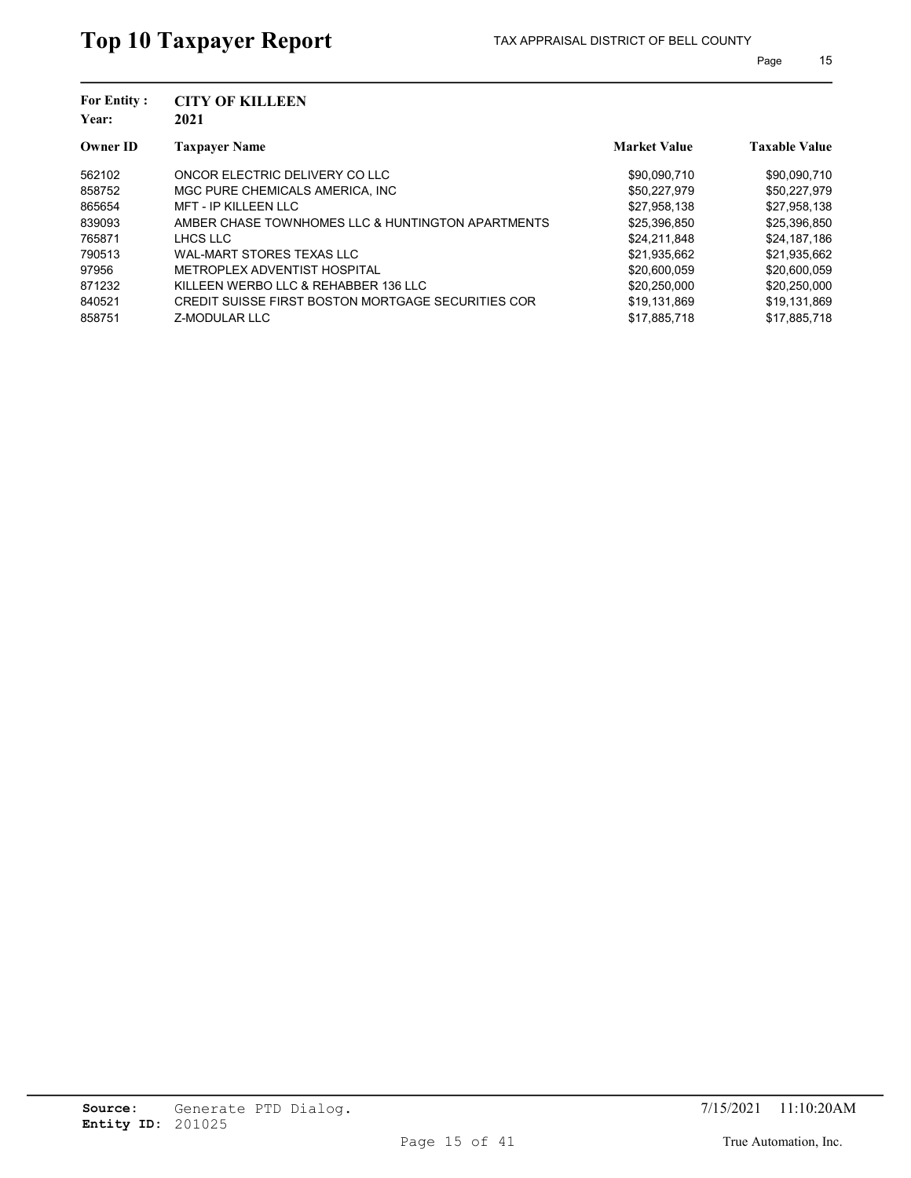| <b>For Entity:</b><br>Year: | <b>CITY OF KILLEEN</b><br>2021                     |                     |                      |
|-----------------------------|----------------------------------------------------|---------------------|----------------------|
| <b>Owner ID</b>             | <b>Taxpayer Name</b>                               | <b>Market Value</b> | <b>Taxable Value</b> |
| 562102                      | ONCOR ELECTRIC DELIVERY CO LLC                     | \$90,090,710        | \$90,090,710         |
| 858752                      | MGC PURE CHEMICALS AMERICA. INC.                   | \$50.227.979        | \$50,227,979         |
| 865654                      | <b>MFT - IP KILLEEN LLC</b>                        | \$27,958,138        | \$27,958,138         |
| 839093                      | AMBER CHASE TOWNHOMES LLC & HUNTINGTON APARTMENTS  | \$25,396,850        | \$25,396,850         |
| 765871                      | LHCS LLC                                           | \$24,211,848        | \$24,187,186         |
| 790513                      | WAL-MART STORES TEXAS LLC                          | \$21,935,662        | \$21,935,662         |
| 97956                       | METROPLEX ADVENTIST HOSPITAL                       | \$20,600,059        | \$20,600,059         |
| 871232                      | KILLEEN WERBO LLC & REHABBER 136 LLC               | \$20,250,000        | \$20,250,000         |
| 840521                      | CREDIT SUISSE FIRST BOSTON MORTGAGE SECURITIES COR | \$19,131,869        | \$19,131,869         |
| 858751                      | Z-MODULAR LLC                                      | \$17,885,718        | \$17,885,718         |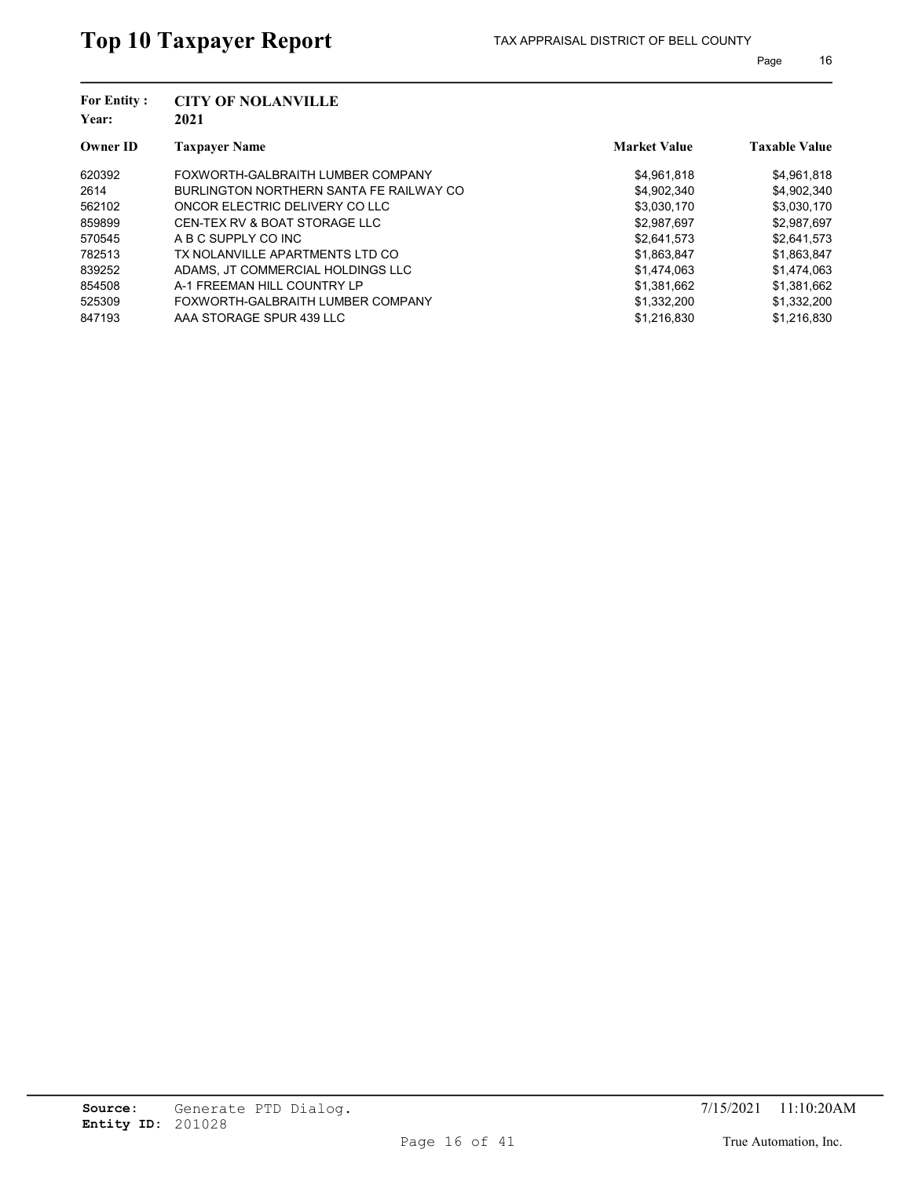| <b>For Entity:</b><br>Year: | <b>CITY OF NOLANVILLE</b><br>2021       |                     |                      |
|-----------------------------|-----------------------------------------|---------------------|----------------------|
| <b>Owner ID</b>             | <b>Taxpayer Name</b>                    | <b>Market Value</b> | <b>Taxable Value</b> |
| 620392                      | FOXWORTH-GALBRAITH LUMBER COMPANY       | \$4,961,818         | \$4,961,818          |
| 2614                        | BURLINGTON NORTHERN SANTA FE RAILWAY CO | \$4,902,340         | \$4,902,340          |
| 562102                      | ONCOR ELECTRIC DELIVERY CO LLC          | \$3,030,170         | \$3,030,170          |
| 859899                      | CEN-TEX RV & BOAT STORAGE LLC           | \$2,987,697         | \$2,987,697          |
| 570545                      | A B C SUPPLY CO INC                     | \$2,641,573         | \$2,641,573          |
| 782513                      | TX NOLANVILLE APARTMENTS LTD CO         | \$1,863,847         | \$1,863,847          |
| 839252                      | ADAMS, JT COMMERCIAL HOLDINGS LLC       | \$1.474.063         | \$1,474,063          |
| 854508                      | A-1 FREEMAN HILL COUNTRY LP             | \$1.381.662         | \$1,381,662          |
| 525309                      | FOXWORTH-GALBRAITH LUMBER COMPANY       | \$1,332,200         | \$1,332,200          |
| 847193                      | AAA STORAGE SPUR 439 LLC                | \$1.216.830         | \$1.216.830          |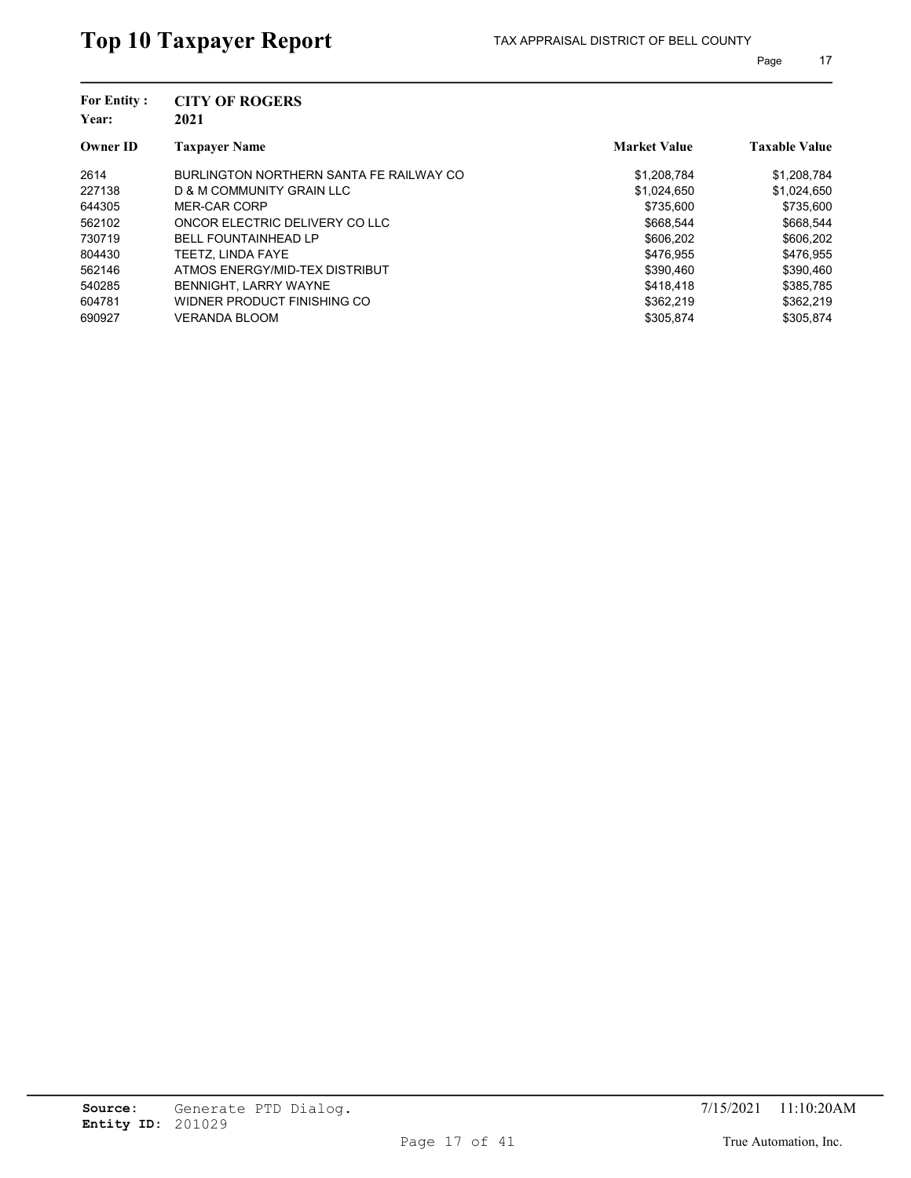| <b>For Entity:</b><br>Year: | <b>CITY OF ROGERS</b><br>2021           |                     |                      |
|-----------------------------|-----------------------------------------|---------------------|----------------------|
| <b>Owner ID</b>             | <b>Taxpayer Name</b>                    | <b>Market Value</b> | <b>Taxable Value</b> |
| 2614                        | BURLINGTON NORTHERN SANTA FE RAILWAY CO | \$1,208,784         | \$1,208,784          |
| 227138                      | D & M COMMUNITY GRAIN LLC               | \$1,024,650         | \$1,024,650          |
| 644305                      | MER-CAR CORP                            | \$735.600           | \$735.600            |
| 562102                      | ONCOR ELECTRIC DELIVERY CO LLC          | \$668.544           | \$668.544            |
| 730719                      | <b>BELL FOUNTAINHEAD LP</b>             | \$606.202           | \$606.202            |
| 804430                      | TEETZ. LINDA FAYE                       | \$476.955           | \$476,955            |
| 562146                      | ATMOS ENERGY/MID-TEX DISTRIBUT          | \$390.460           | \$390,460            |
| 540285                      | <b>BENNIGHT, LARRY WAYNE</b>            | \$418.418           | \$385.785            |
| 604781                      | WIDNER PRODUCT FINISHING CO             | \$362.219           | \$362,219            |
| 690927                      | VERANDA BLOOM                           | \$305.874           | \$305.874            |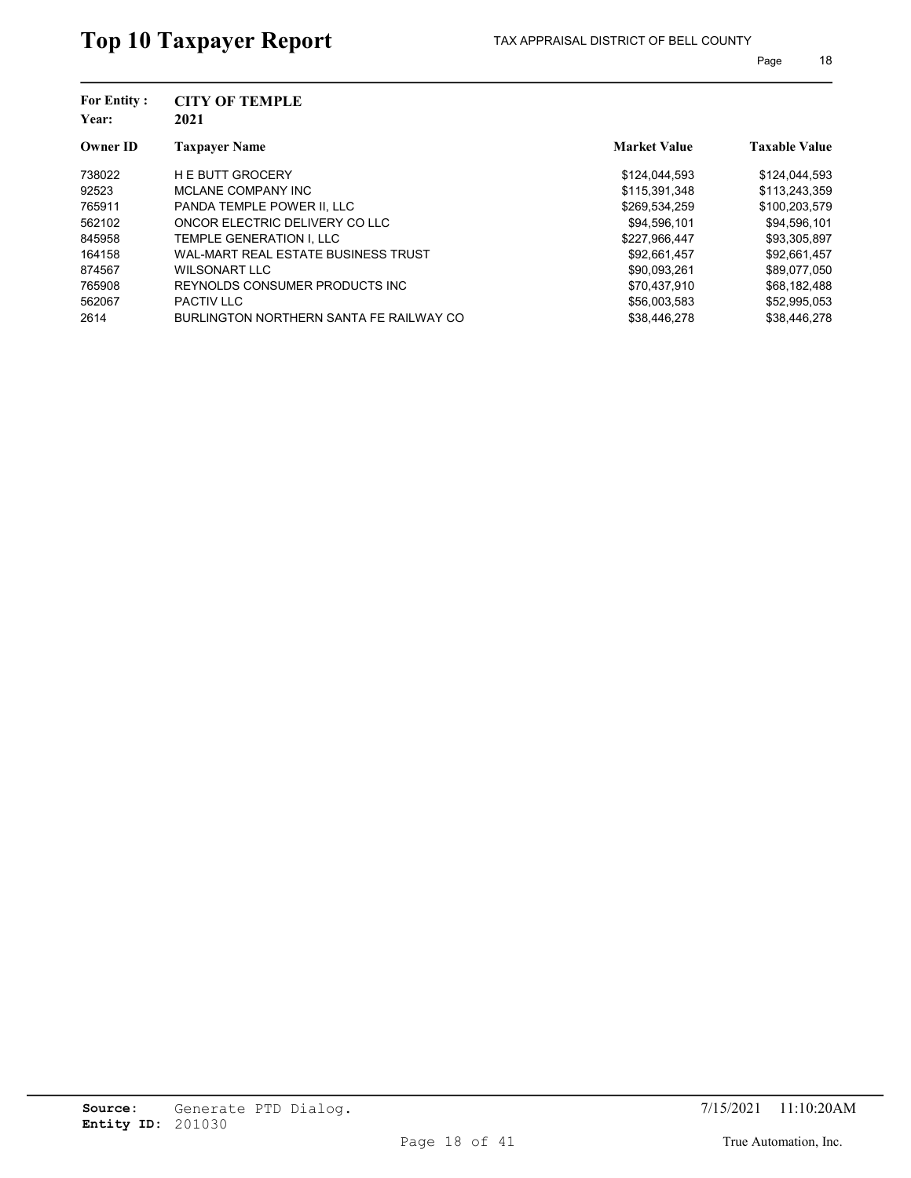| <b>For Entity:</b><br>Year: | <b>CITY OF TEMPLE</b><br>2021           |                     |                      |
|-----------------------------|-----------------------------------------|---------------------|----------------------|
| <b>Owner ID</b>             | <b>Taxpayer Name</b>                    | <b>Market Value</b> | <b>Taxable Value</b> |
| 738022                      | <b>HE BUTT GROCERY</b>                  | \$124,044,593       | \$124,044,593        |
| 92523                       | MCLANE COMPANY INC                      | \$115,391,348       | \$113,243,359        |
| 765911                      | PANDA TEMPLE POWER II. LLC              | \$269,534,259       | \$100,203,579        |
| 562102                      | ONCOR ELECTRIC DELIVERY CO LLC          | \$94,596,101        | \$94,596,101         |
| 845958                      | TEMPLE GENERATION I. LLC                | \$227,966,447       | \$93,305,897         |
| 164158                      | WAL-MART REAL ESTATE BUSINESS TRUST     | \$92,661,457        | \$92,661,457         |
| 874567                      | WILSONART LLC                           | \$90.093.261        | \$89.077.050         |
| 765908                      | REYNOLDS CONSUMER PRODUCTS INC.         | \$70.437.910        | \$68,182,488         |
| 562067                      | <b>PACTIV LLC</b>                       | \$56,003,583        | \$52,995,053         |
| 2614                        | BURLINGTON NORTHERN SANTA FE RAILWAY CO | \$38,446,278        | \$38,446,278         |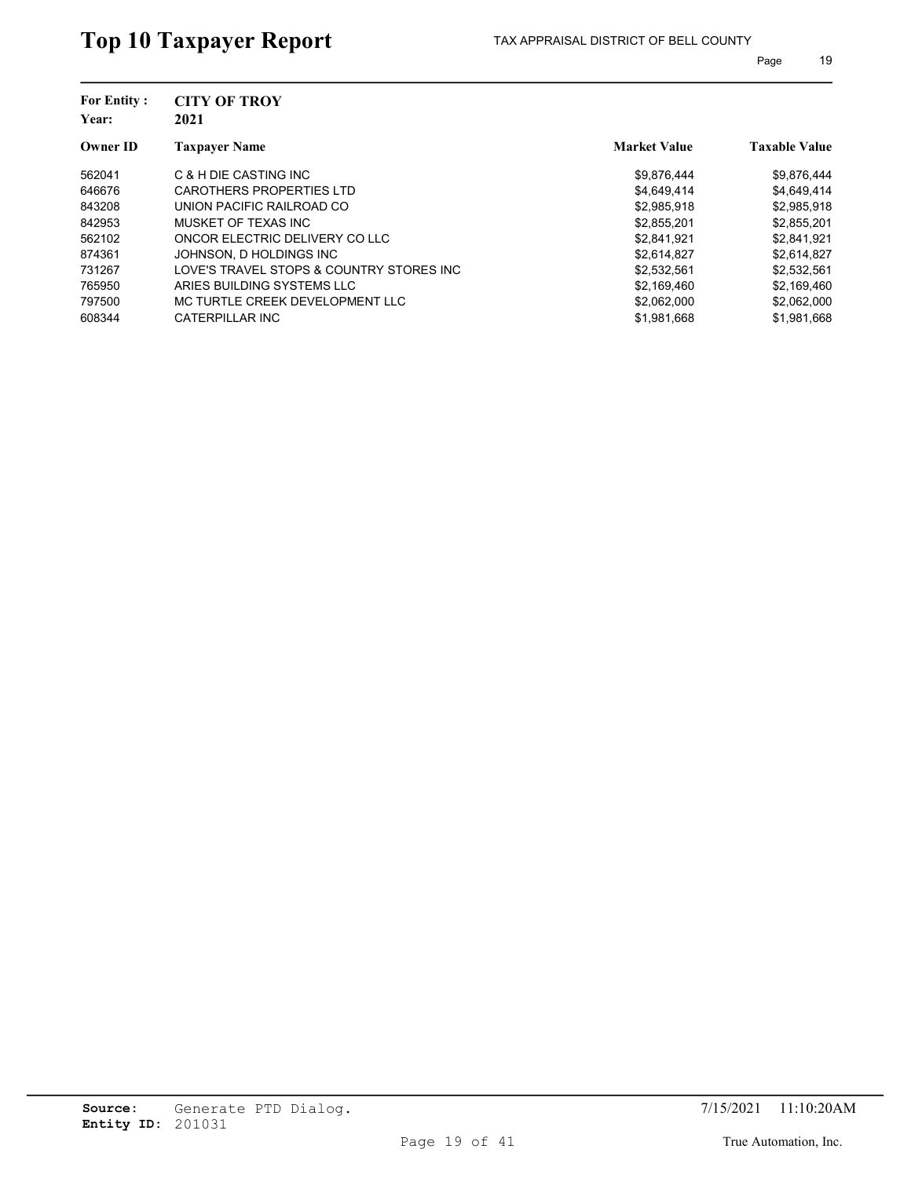| <b>For Entity:</b><br>Year: | <b>CITY OF TROY</b><br>2021              |                     |                      |
|-----------------------------|------------------------------------------|---------------------|----------------------|
| <b>Owner ID</b>             | <b>Taxpayer Name</b>                     | <b>Market Value</b> | <b>Taxable Value</b> |
| 562041                      | C & H DIE CASTING INC                    | \$9,876,444         | \$9,876,444          |
| 646676                      | CAROTHERS PROPERTIES LTD                 | \$4,649,414         | \$4,649,414          |
| 843208                      | UNION PACIFIC RAILROAD CO                | \$2,985,918         | \$2,985,918          |
| 842953                      | MUSKET OF TEXAS INC                      | \$2,855,201         | \$2,855,201          |
| 562102                      | ONCOR ELECTRIC DELIVERY CO LLC           | \$2,841,921         | \$2,841,921          |
| 874361                      | JOHNSON, D HOLDINGS INC                  | \$2,614,827         | \$2,614,827          |
| 731267                      | LOVE'S TRAVEL STOPS & COUNTRY STORES INC | \$2,532,561         | \$2,532,561          |
| 765950                      | ARIES BUILDING SYSTEMS LLC               | \$2.169.460         | \$2,169,460          |
| 797500                      | MC TURTLE CREEK DEVELOPMENT LLC          | \$2.062.000         | \$2,062,000          |
| 608344                      | CATERPILLAR INC                          | \$1.981.668         | \$1.981.668          |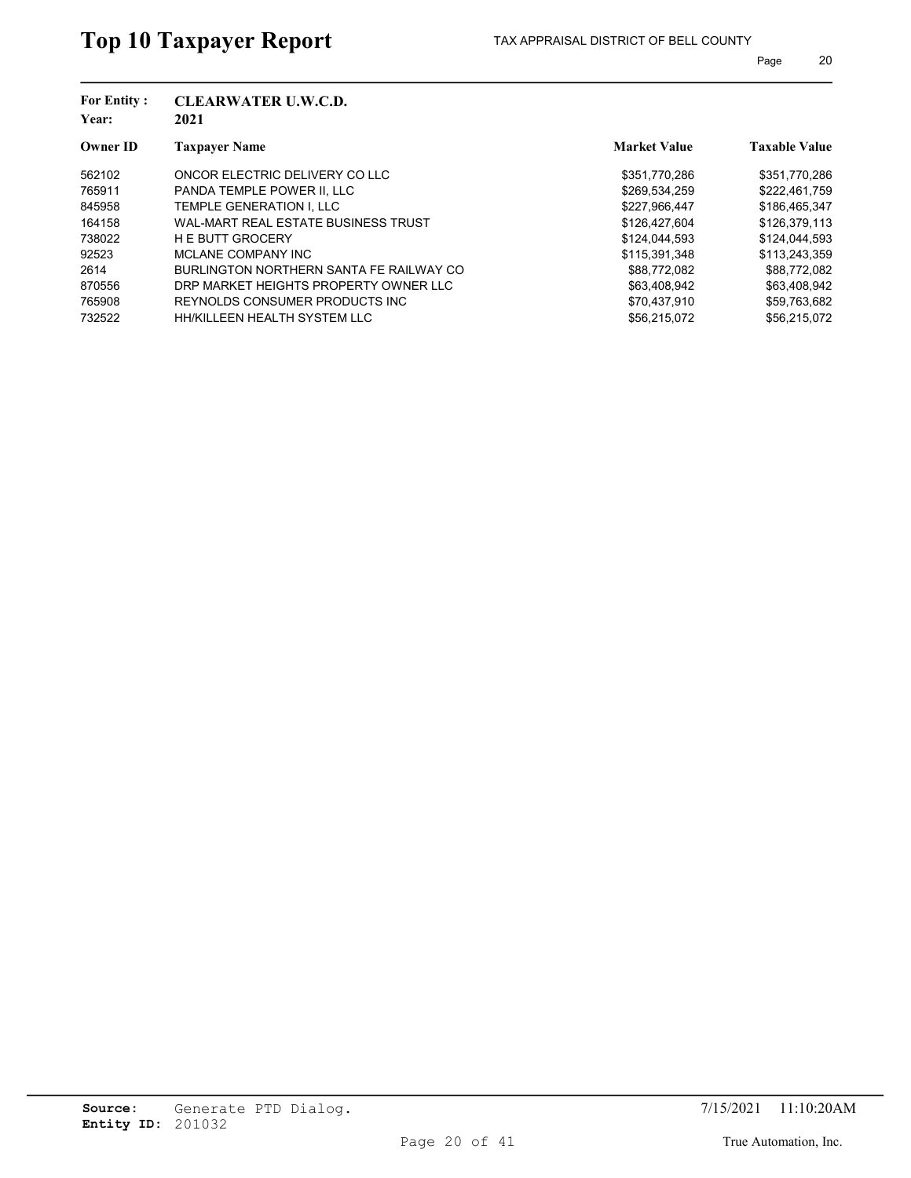| <b>For Entity:</b> | <b>CLEARWATER U.W.C.D.</b>              |                     |                      |
|--------------------|-----------------------------------------|---------------------|----------------------|
| Year:              | 2021                                    |                     |                      |
| <b>Owner ID</b>    | <b>Taxpayer Name</b>                    | <b>Market Value</b> | <b>Taxable Value</b> |
| 562102             | ONCOR ELECTRIC DELIVERY CO LLC          | \$351,770,286       | \$351,770,286        |
| 765911             | PANDA TEMPLE POWER II. LLC              | \$269,534,259       | \$222,461,759        |
| 845958             | TEMPLE GENERATION I. LLC                | \$227.966.447       | \$186,465,347        |
| 164158             | WAL-MART REAL ESTATE BUSINESS TRUST     | \$126,427,604       | \$126,379,113        |
| 738022             | <b>HE BUTT GROCERY</b>                  | \$124,044,593       | \$124,044,593        |
| 92523              | MCLANE COMPANY INC                      | \$115,391,348       | \$113,243,359        |
| 2614               | BURLINGTON NORTHERN SANTA FE RAILWAY CO | \$88,772,082        | \$88,772,082         |
| 870556             | DRP MARKET HEIGHTS PROPERTY OWNER LLC   | \$63.408.942        | \$63,408,942         |
| 765908             | REYNOLDS CONSUMER PRODUCTS INC.         | \$70,437,910        | \$59,763,682         |
| 732522             | HH/KILLEEN HEALTH SYSTEM LLC            | \$56.215.072        | \$56.215.072         |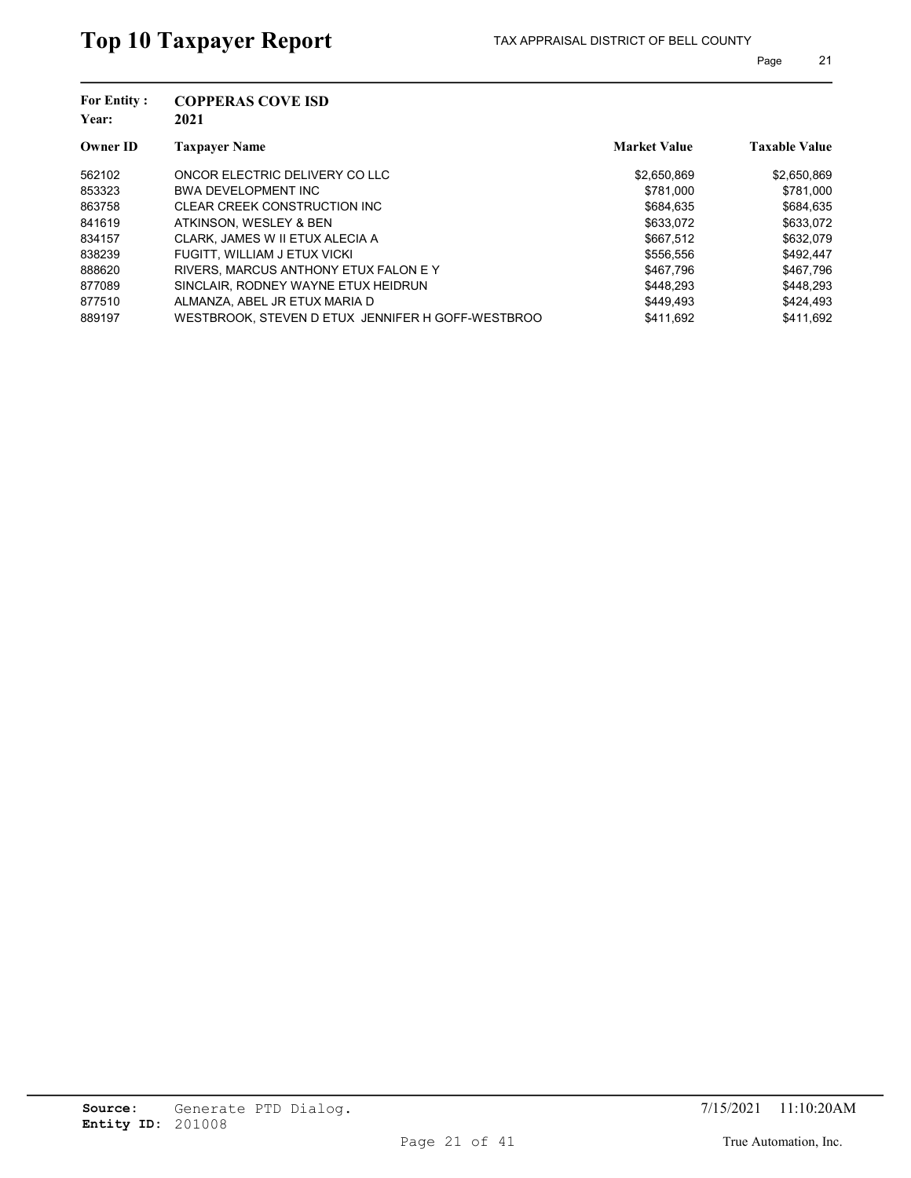| <b>COPPERAS COVE ISD</b><br>2021                  |                     |                      |
|---------------------------------------------------|---------------------|----------------------|
| <b>Taxpayer Name</b>                              | <b>Market Value</b> | <b>Taxable Value</b> |
| ONCOR ELECTRIC DELIVERY CO LLC                    | \$2,650,869         | \$2,650,869          |
| <b>BWA DEVELOPMENT INC</b>                        | \$781.000           | \$781,000            |
| CLEAR CREEK CONSTRUCTION INC                      | \$684.635           | \$684.635            |
| ATKINSON, WESLEY & BEN                            | \$633,072           | \$633,072            |
| CLARK, JAMES W II ETUX ALECIA A                   | \$667.512           | \$632,079            |
| FUGITT, WILLIAM J ETUX VICKI                      | \$556.556           | \$492,447            |
| RIVERS. MARCUS ANTHONY ETUX FALON E Y             | \$467.796           | \$467,796            |
| SINCLAIR, RODNEY WAYNE ETUX HEIDRUN               | \$448.293           | \$448.293            |
| ALMANZA, ABEL JR ETUX MARIA D                     | \$449.493           | \$424,493            |
| WESTBROOK, STEVEN D ETUX JENNIFER H GOFF-WESTBROO | \$411.692           | \$411.692            |
|                                                   |                     |                      |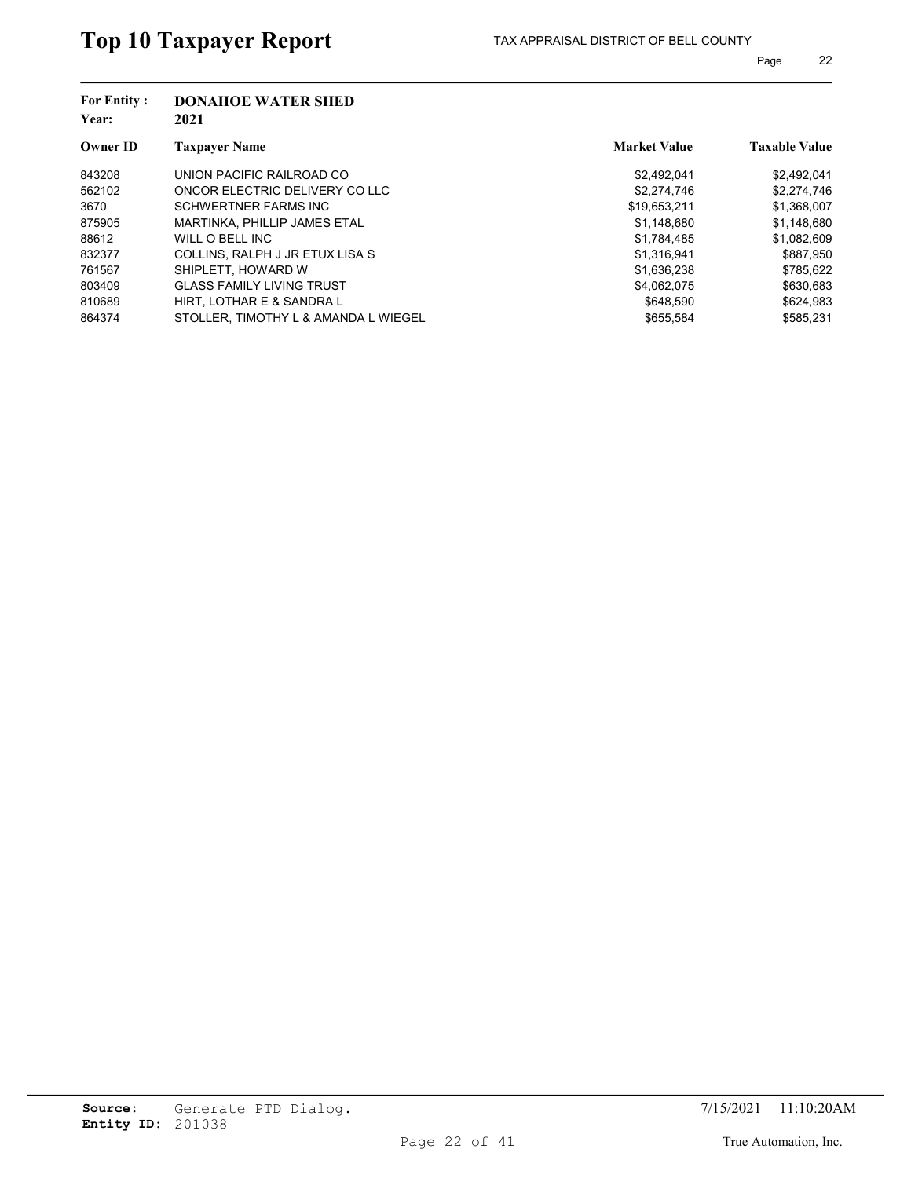| <b>For Entity:</b><br>Year: | <b>DONAHOE WATER SHED</b><br>2021    |                     |                      |
|-----------------------------|--------------------------------------|---------------------|----------------------|
| <b>Owner ID</b>             | <b>Taxpayer Name</b>                 | <b>Market Value</b> | <b>Taxable Value</b> |
| 843208                      | UNION PACIFIC RAILROAD CO            | \$2,492,041         | \$2,492,041          |
| 562102                      | ONCOR ELECTRIC DELIVERY CO LLC       | \$2,274,746         | \$2,274,746          |
| 3670                        | SCHWERTNER FARMS INC                 | \$19,653,211        | \$1,368,007          |
| 875905                      | MARTINKA, PHILLIP JAMES ETAL         | \$1,148,680         | \$1,148,680          |
| 88612                       | WILL O BELL INC                      | \$1,784,485         | \$1,082,609          |
| 832377                      | COLLINS, RALPH J JR ETUX LISA S      | \$1,316,941         | \$887,950            |
| 761567                      | SHIPLETT, HOWARD W                   | \$1,636,238         | \$785,622            |
| 803409                      | <b>GLASS FAMILY LIVING TRUST</b>     | \$4.062.075         | \$630.683            |
| 810689                      | HIRT. LOTHAR E & SANDRA L            | \$648.590           | \$624,983            |
| 864374                      | STOLLER. TIMOTHY L & AMANDA L WIEGEL | \$655.584           | \$585.231            |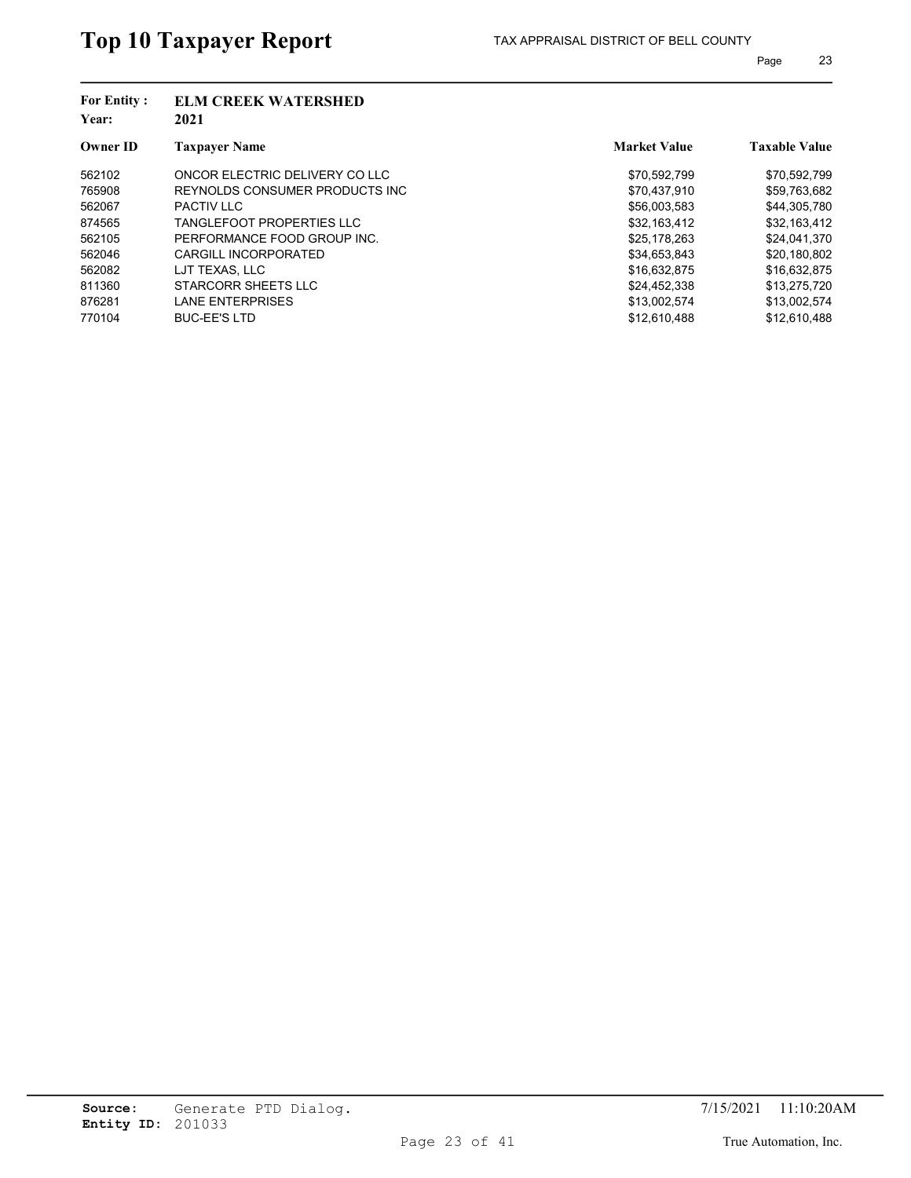| <b>For Entity:</b><br>Year: | <b>ELM CREEK WATERSHED</b><br>2021 |                     |                      |
|-----------------------------|------------------------------------|---------------------|----------------------|
| <b>Owner ID</b>             | <b>Taxpayer Name</b>               | <b>Market Value</b> | <b>Taxable Value</b> |
| 562102                      | ONCOR ELECTRIC DELIVERY CO LLC     | \$70,592,799        | \$70,592,799         |
| 765908                      | REYNOLDS CONSUMER PRODUCTS INC.    | \$70,437,910        | \$59,763,682         |
| 562067                      | PACTIV I I C                       | \$56,003,583        | \$44,305,780         |
| 874565                      | TANGLEFOOT PROPERTIES LLC          | \$32.163.412        | \$32,163,412         |
| 562105                      | PERFORMANCE FOOD GROUP INC.        | \$25,178,263        | \$24,041,370         |
| 562046                      | CARGILL INCORPORATED               | \$34,653,843        | \$20,180,802         |
| 562082                      | LJT TEXAS. LLC                     | \$16.632.875        | \$16,632,875         |
| 811360                      | STARCORR SHEETS LLC                | \$24.452.338        | \$13,275,720         |
| 876281                      | <b>LANE ENTERPRISES</b>            | \$13,002,574        | \$13,002,574         |
| 770104                      | <b>BUC-EE'S LTD</b>                | \$12.610.488        | \$12.610.488         |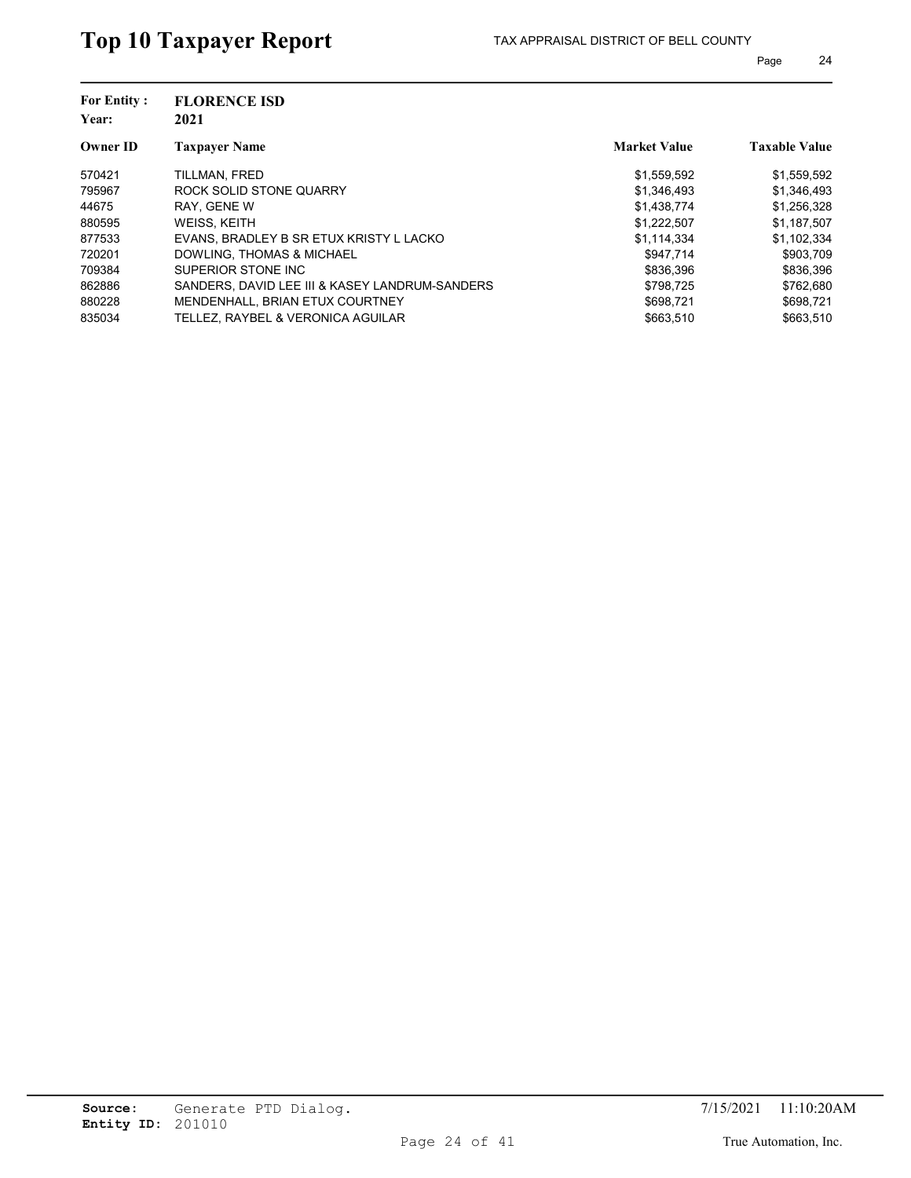| <b>For Entity:</b> | <b>FLORENCE ISD</b>                            |                     |                      |
|--------------------|------------------------------------------------|---------------------|----------------------|
| Year:              | 2021                                           |                     |                      |
| <b>Owner ID</b>    | <b>Taxpayer Name</b>                           | <b>Market Value</b> | <b>Taxable Value</b> |
| 570421             | TILLMAN, FRED                                  | \$1,559,592         | \$1,559,592          |
| 795967             | ROCK SOLID STONE QUARRY                        | \$1,346,493         | \$1,346,493          |
| 44675              | RAY. GENE W                                    | \$1,438,774         | \$1,256,328          |
| 880595             | WEISS, KEITH                                   | \$1,222,507         | \$1,187,507          |
| 877533             | EVANS, BRADLEY B SR ETUX KRISTY L LACKO        | \$1,114,334         | \$1,102,334          |
| 720201             | DOWLING, THOMAS & MICHAEL                      | \$947.714           | \$903,709            |
| 709384             | SUPERIOR STONE INC                             | \$836.396           | \$836,396            |
| 862886             | SANDERS. DAVID LEE III & KASEY LANDRUM-SANDERS | \$798.725           | \$762.680            |
| 880228             | <b>MENDENHALL, BRIAN ETUX COURTNEY</b>         | \$698.721           | \$698,721            |
| 835034             | TELLEZ. RAYBEL & VERONICA AGUILAR              | \$663.510           | \$663.510            |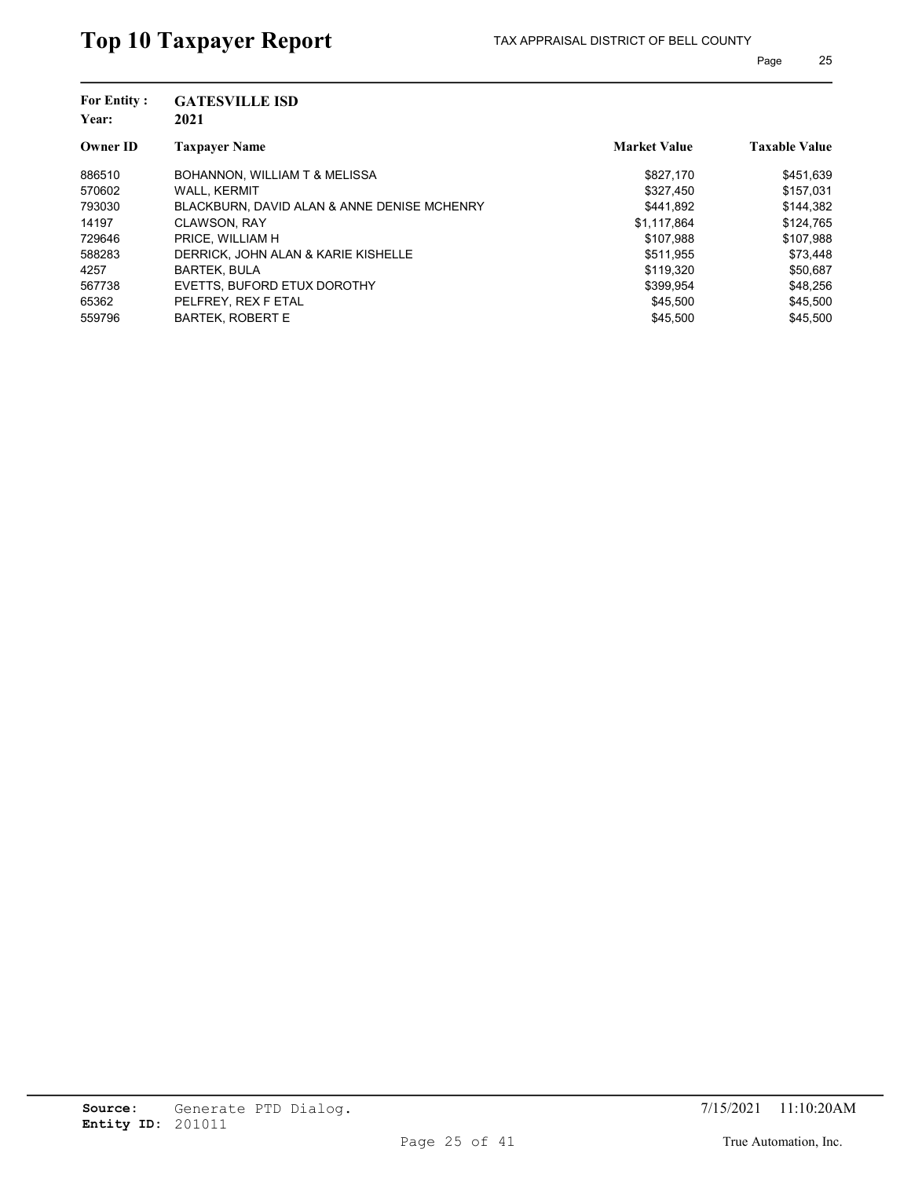| <b>GATESVILLE ISD</b><br>2021               |                     |                      |
|---------------------------------------------|---------------------|----------------------|
| <b>Taxpayer Name</b>                        | <b>Market Value</b> | <b>Taxable Value</b> |
| BOHANNON, WILLIAM T & MELISSA               | \$827.170           | \$451,639            |
| <b>WALL, KERMIT</b>                         | \$327.450           | \$157.031            |
| BLACKBURN, DAVID ALAN & ANNE DENISE MCHENRY | \$441.892           | \$144.382            |
| <b>CLAWSON, RAY</b>                         | \$1.117.864         | \$124,765            |
| PRICE. WILLIAM H                            | \$107,988           | \$107,988            |
| DERRICK. JOHN ALAN & KARIE KISHELLE         | \$511.955           | \$73,448             |
| <b>BARTEK, BULA</b>                         | \$119,320           | \$50,687             |
| EVETTS, BUFORD ETUX DOROTHY                 | \$399,954           | \$48,256             |
| PELFREY, REX F ETAL                         | \$45,500            | \$45,500             |
| <b>BARTEK, ROBERT E</b>                     | \$45.500            | \$45,500             |
|                                             |                     |                      |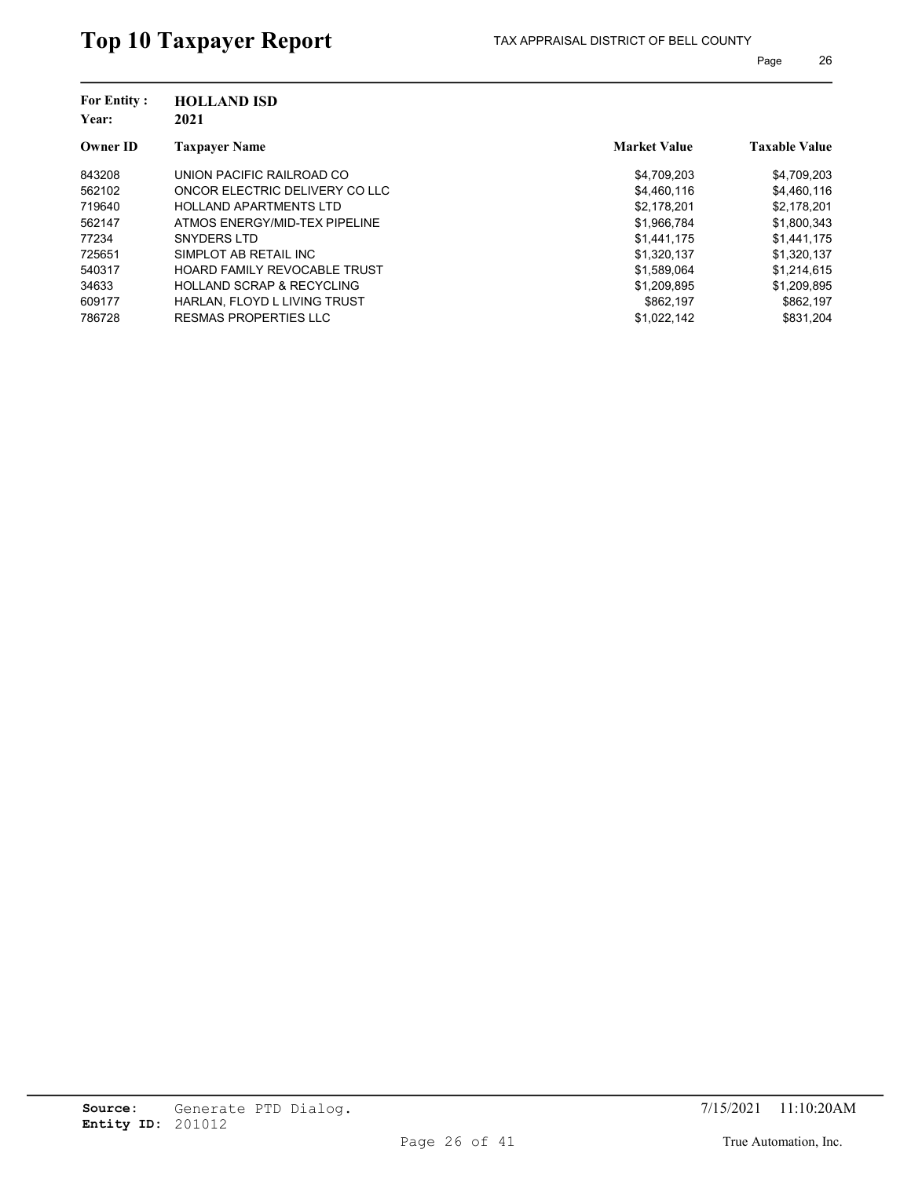| <b>For Entity:</b><br>Year: | <b>HOLLAND ISD</b><br>2021           |                     |                      |
|-----------------------------|--------------------------------------|---------------------|----------------------|
| <b>Owner ID</b>             | <b>Taxpayer Name</b>                 | <b>Market Value</b> | <b>Taxable Value</b> |
| 843208                      | UNION PACIFIC RAILROAD CO            | \$4.709.203         | \$4,709,203          |
| 562102                      | ONCOR ELECTRIC DELIVERY CO LLC       | \$4,460,116         | \$4,460,116          |
| 719640                      | <b>HOLLAND APARTMENTS LTD</b>        | \$2,178,201         | \$2,178,201          |
| 562147                      | ATMOS ENERGY/MID-TEX PIPELINE        | \$1,966,784         | \$1,800,343          |
| 77234                       | SNYDERS LTD                          | \$1,441,175         | \$1,441,175          |
| 725651                      | SIMPLOT AB RETAIL INC                | \$1,320,137         | \$1,320,137          |
| 540317                      | <b>HOARD FAMILY REVOCABLE TRUST</b>  | \$1,589,064         | \$1,214,615          |
| 34633                       | <b>HOLLAND SCRAP &amp; RECYCLING</b> | \$1,209,895         | \$1,209,895          |
| 609177                      | HARLAN, FLOYD L LIVING TRUST         | \$862,197           | \$862,197            |
| 786728                      | RESMAS PROPERTIES LLC                | \$1,022,142         | \$831.204            |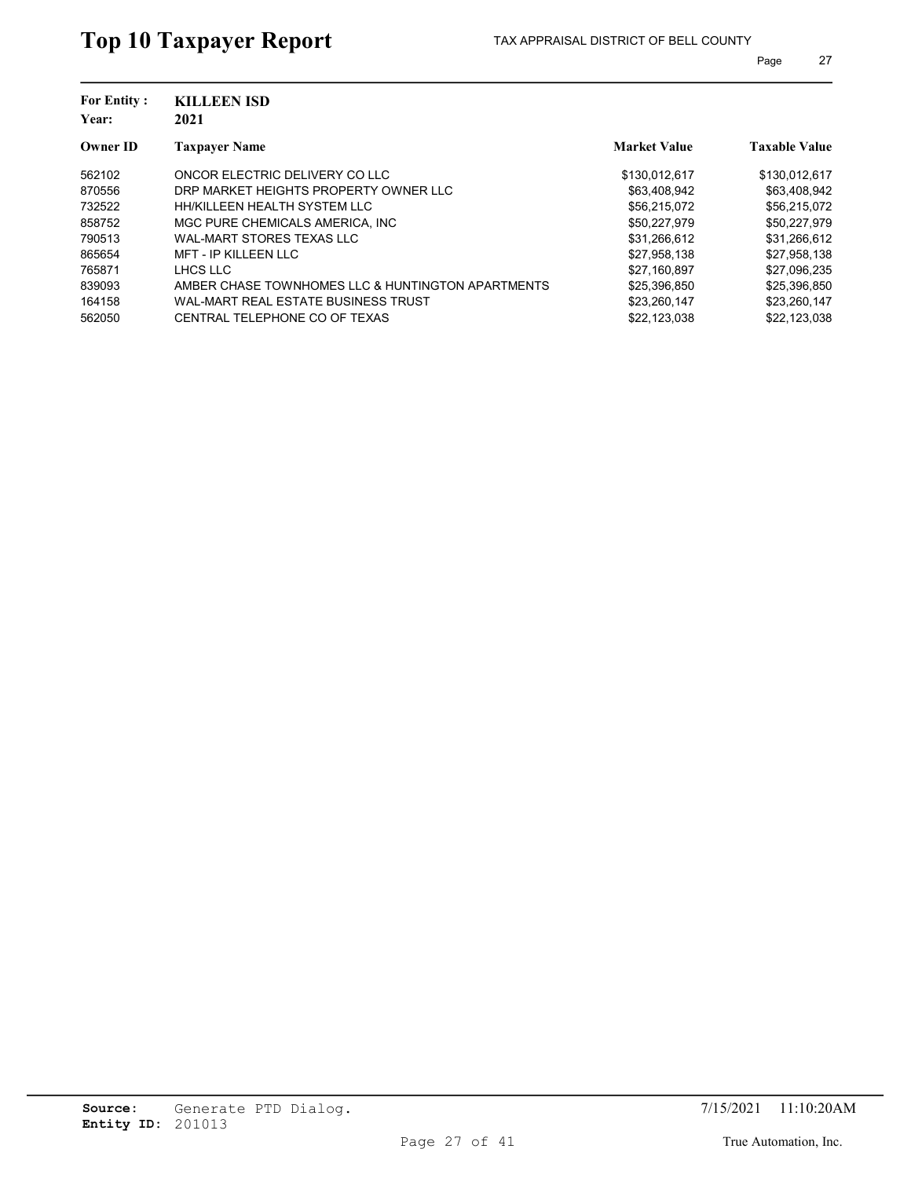| <b>For Entity:</b><br>Year: | <b>KILLEEN ISD</b><br>2021                        |                     |                      |
|-----------------------------|---------------------------------------------------|---------------------|----------------------|
| <b>Owner ID</b>             | <b>Taxpayer Name</b>                              | <b>Market Value</b> | <b>Taxable Value</b> |
| 562102                      | ONCOR ELECTRIC DELIVERY CO LLC                    | \$130,012,617       | \$130,012,617        |
| 870556                      | DRP MARKET HEIGHTS PROPERTY OWNER LLC             | \$63,408,942        | \$63,408,942         |
| 732522                      | HH/KILLEEN HEALTH SYSTEM LLC                      | \$56.215.072        | \$56.215.072         |
| 858752                      | MGC PURE CHEMICALS AMERICA. INC.                  | \$50,227,979        | \$50,227,979         |
| 790513                      | WAL-MART STORES TEXAS LLC                         | \$31,266,612        | \$31,266,612         |
| 865654                      | <b>MFT - IP KILLEEN LLC</b>                       | \$27,958,138        | \$27,958,138         |
| 765871                      | LHCS LLC                                          | \$27.160.897        | \$27,096,235         |
| 839093                      | AMBER CHASE TOWNHOMES LLC & HUNTINGTON APARTMENTS | \$25.396.850        | \$25,396,850         |
| 164158                      | WAL-MART REAL ESTATE BUSINESS TRUST               | \$23,260,147        | \$23,260,147         |
| 562050                      | CENTRAL TELEPHONE CO OF TEXAS                     | \$22,123,038        | \$22.123.038         |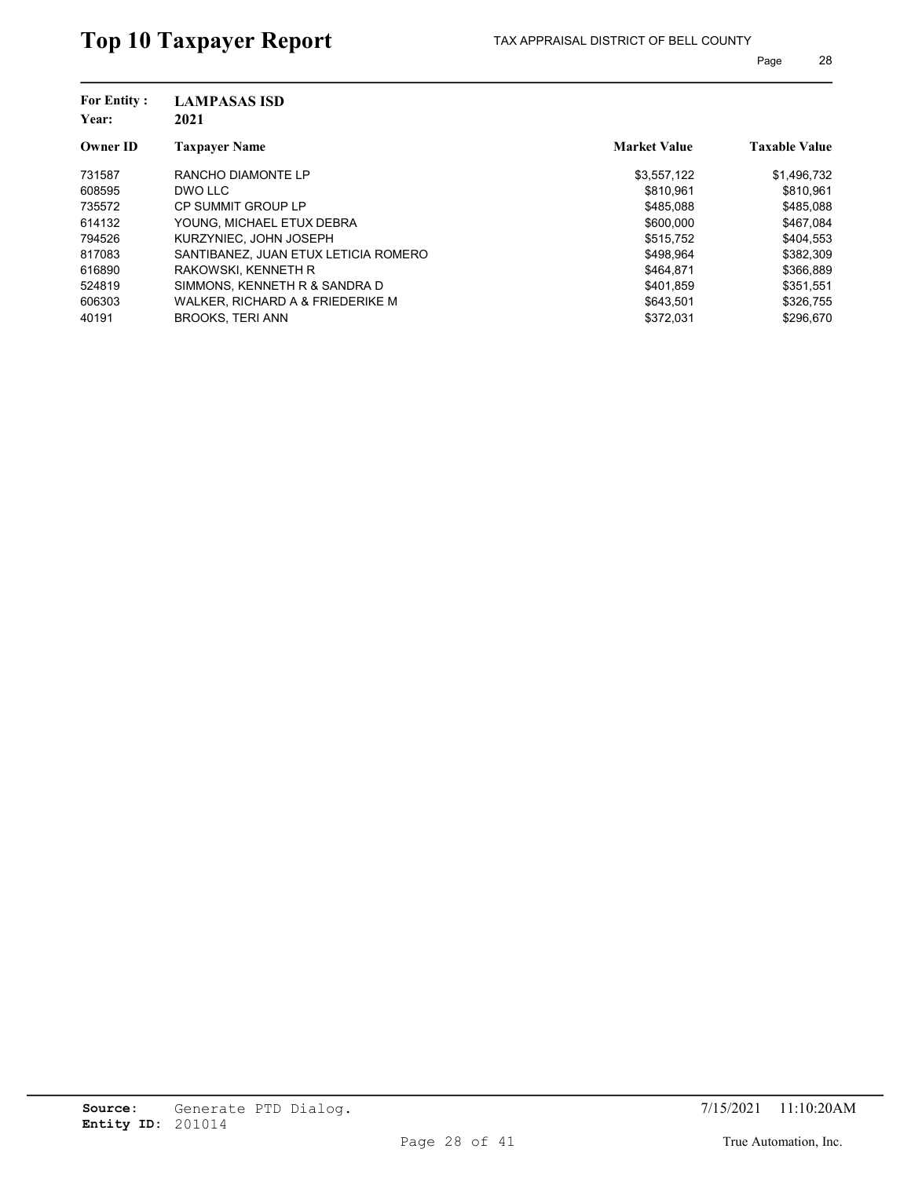|                                                                | <b>Taxable Value</b> |
|----------------------------------------------------------------|----------------------|
| <b>Market Value</b><br><b>Taxpayer Name</b><br><b>Owner ID</b> |                      |
| 731587<br>RANCHO DIAMONTE LP<br>\$3,557,122                    | \$1,496,732          |
| 608595<br>\$810.961<br>DWO LLC                                 | \$810.961            |
| \$485.088<br>735572<br>CP SUMMIT GROUP LP                      | \$485.088            |
| \$600,000<br>614132<br>YOUNG. MICHAEL ETUX DEBRA               | \$467,084            |
| 794526<br>KURZYNIEC. JOHN JOSEPH<br>\$515,752                  | \$404,553            |
| 817083<br>SANTIBANEZ, JUAN ETUX LETICIA ROMERO<br>\$498.964    | \$382,309            |
| 616890<br>\$464.871<br>RAKOWSKI, KENNETH R                     | \$366,889            |
| SIMMONS, KENNETH R & SANDRA D<br>524819<br>\$401.859           | \$351,551            |
| 606303<br>WALKER, RICHARD A & FRIEDERIKE M<br>\$643,501        | \$326,755            |
| \$372.031<br><b>BROOKS, TERI ANN</b><br>40191                  | \$296.670            |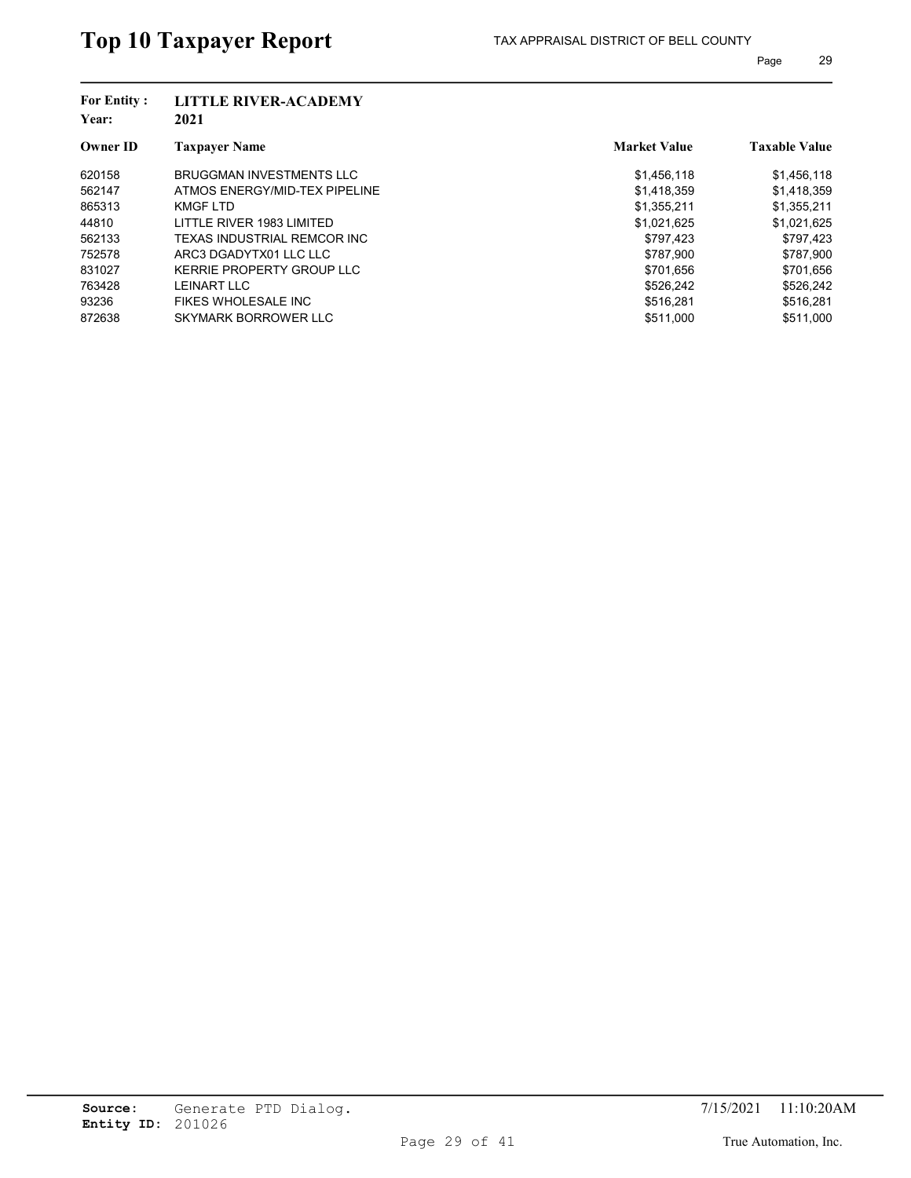| <b>For Entity:</b><br>Year: | <b>LITTLE RIVER-ACADEMY</b><br>2021 |                     |                      |
|-----------------------------|-------------------------------------|---------------------|----------------------|
| <b>Owner ID</b>             | <b>Taxpayer Name</b>                | <b>Market Value</b> | <b>Taxable Value</b> |
| 620158                      | <b>BRUGGMAN INVESTMENTS LLC</b>     | \$1,456,118         | \$1,456,118          |
| 562147                      | ATMOS ENERGY/MID-TEX PIPELINE       | \$1,418,359         | \$1,418,359          |
| 865313                      | KMGF LTD                            | \$1,355,211         | \$1,355,211          |
| 44810                       | LITTLE RIVER 1983 LIMITED           | \$1,021,625         | \$1,021,625          |
| 562133                      | TEXAS INDUSTRIAL REMCOR INC         | \$797,423           | \$797,423            |
| 752578                      | ARC3 DGADYTX01 LLC LLC              | \$787.900           | \$787,900            |
| 831027                      | KERRIE PROPERTY GROUP LLC           | \$701.656           | \$701,656            |
| 763428                      | <b>LEINART LLC</b>                  | \$526.242           | \$526.242            |
| 93236                       | <b>FIKES WHOLESALE INC</b>          | \$516,281           | \$516,281            |
| 872638                      | SKYMARK BORROWER LLC                | \$511,000           | \$511.000            |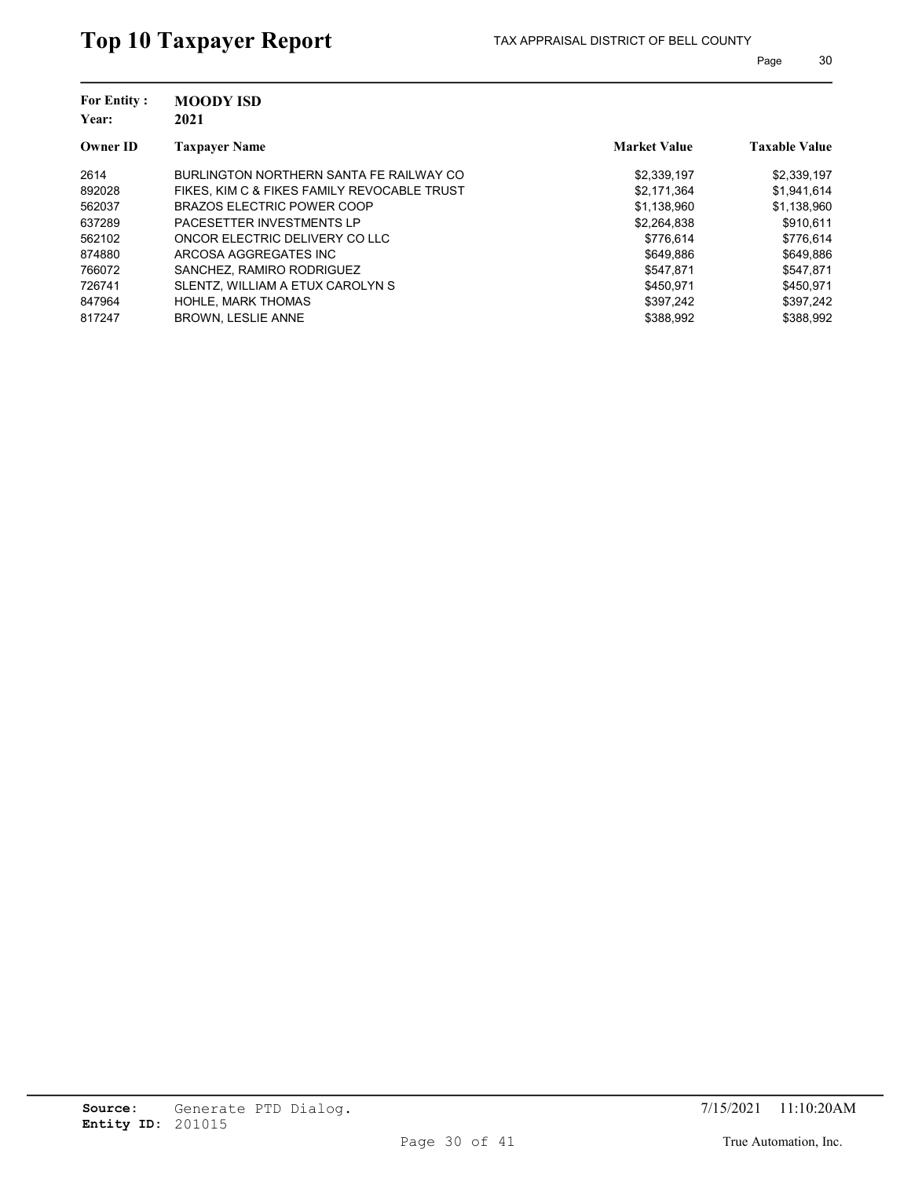| <b>For Entity:</b><br>Year: | <b>MOODY ISD</b><br>2021                    |                     |                      |
|-----------------------------|---------------------------------------------|---------------------|----------------------|
| <b>Owner ID</b>             | <b>Taxpayer Name</b>                        | <b>Market Value</b> | <b>Taxable Value</b> |
| 2614                        | BURLINGTON NORTHERN SANTA FE RAILWAY CO     | \$2,339,197         | \$2,339,197          |
| 892028                      | FIKES, KIM C & FIKES FAMILY REVOCABLE TRUST | \$2.171.364         | \$1,941,614          |
| 562037                      | <b>BRAZOS ELECTRIC POWER COOP</b>           | \$1.138.960         | \$1,138,960          |
| 637289                      | PACESETTER INVESTMENTS LP                   | \$2,264,838         | \$910.611            |
| 562102                      | ONCOR ELECTRIC DELIVERY CO LLC              | \$776.614           | \$776.614            |
| 874880                      | ARCOSA AGGREGATES INC                       | \$649.886           | \$649.886            |
| 766072                      | SANCHEZ, RAMIRO RODRIGUEZ                   | \$547.871           | \$547,871            |
| 726741                      | SLENTZ, WILLIAM A ETUX CAROLYN S            | \$450.971           | \$450.971            |
| 847964                      | <b>HOHLE, MARK THOMAS</b>                   | \$397.242           | \$397,242            |
| 817247                      | <b>BROWN, LESLIE ANNE</b>                   | \$388.992           | \$388.992            |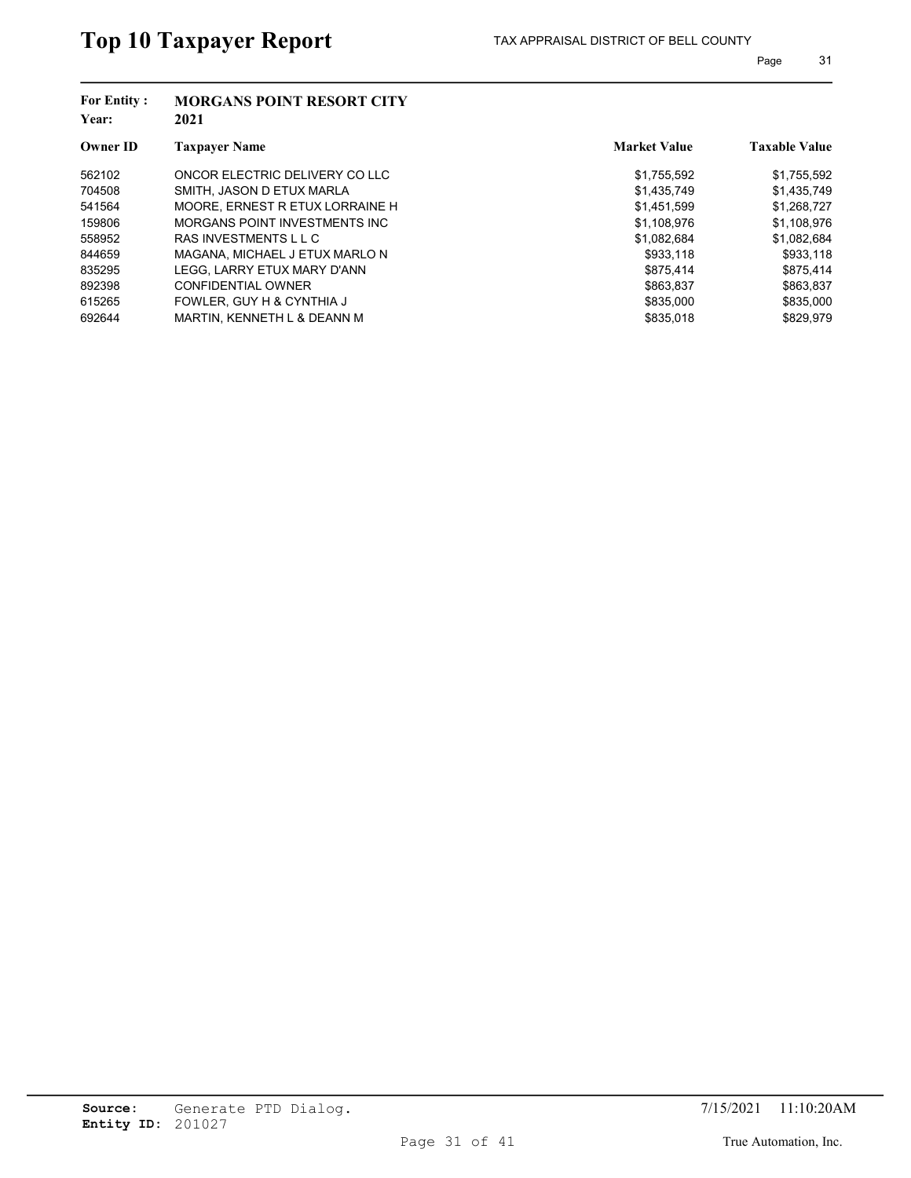| <b>For Entity:</b><br>Year: | <b>MORGANS POINT RESORT CITY</b><br>2021 |                     |                      |
|-----------------------------|------------------------------------------|---------------------|----------------------|
| <b>Owner ID</b>             | <b>Taxpayer Name</b>                     | <b>Market Value</b> | <b>Taxable Value</b> |
| 562102                      | ONCOR ELECTRIC DELIVERY CO LLC           | \$1,755,592         | \$1,755,592          |
| 704508                      | SMITH, JASON D ETUX MARLA                | \$1,435,749         | \$1,435,749          |
| 541564                      | MOORE. ERNEST R ETUX LORRAINE H          | \$1,451,599         | \$1,268,727          |
| 159806                      | MORGANS POINT INVESTMENTS INC            | \$1,108,976         | \$1,108,976          |
| 558952                      | RAS INVESTMENTS L L C                    | \$1,082,684         | \$1,082,684          |
| 844659                      | MAGANA, MICHAEL J ETUX MARLO N           | \$933.118           | \$933,118            |
| 835295                      | LEGG. LARRY ETUX MARY D'ANN              | \$875.414           | \$875,414            |
| 892398                      | <b>CONFIDENTIAL OWNER</b>                | \$863.837           | \$863.837            |
| 615265                      | FOWLER, GUY H & CYNTHIA J                | \$835,000           | \$835,000            |
| 692644                      | MARTIN, KENNETH L & DEANN M              | \$835,018           | \$829.979            |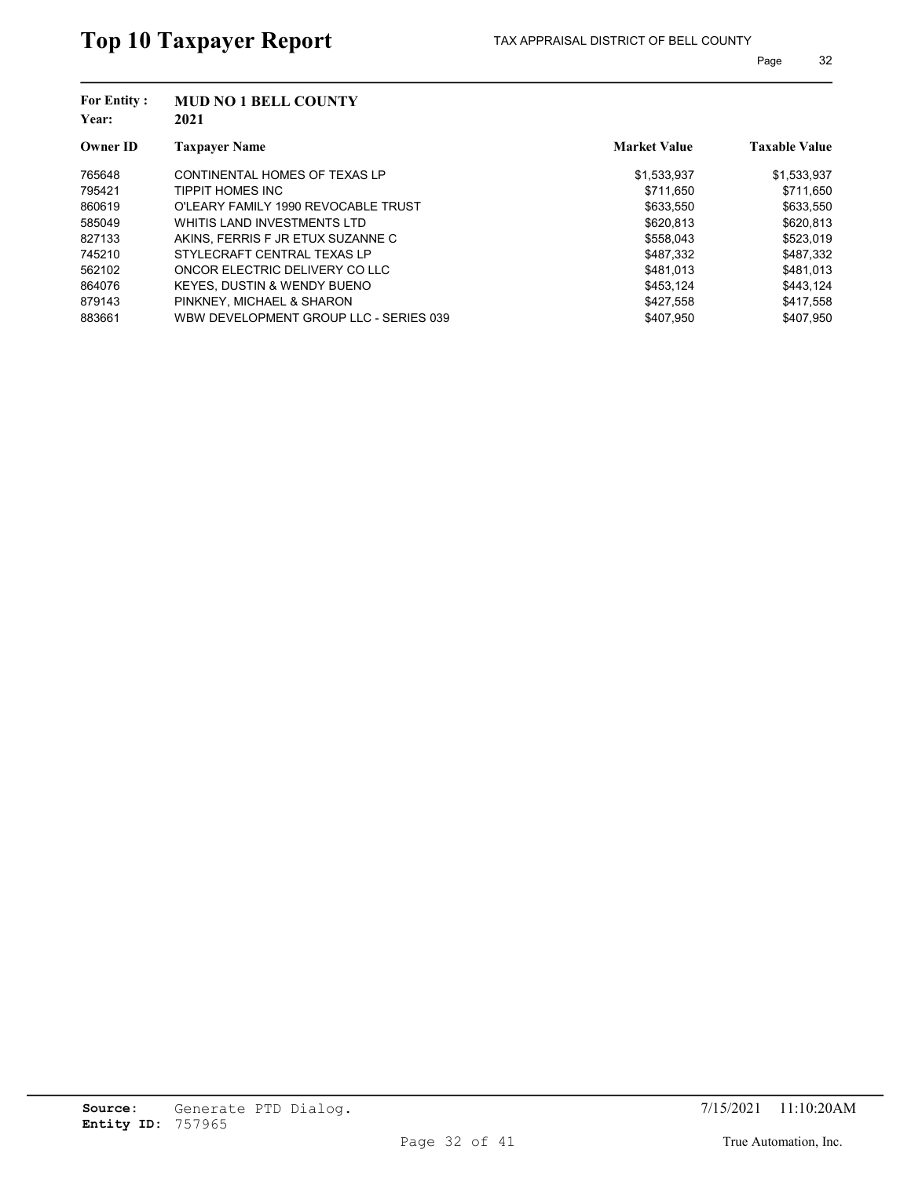| <b>For Entity:</b><br>Year: | <b>MUD NO 1 BELL COUNTY</b><br>2021    |                     |                      |
|-----------------------------|----------------------------------------|---------------------|----------------------|
| <b>Owner ID</b>             | <b>Taxpayer Name</b>                   | <b>Market Value</b> | <b>Taxable Value</b> |
| 765648                      | CONTINENTAL HOMES OF TEXAS LP          | \$1,533,937         | \$1,533,937          |
| 795421                      | TIPPIT HOMES INC                       | \$711.650           | \$711,650            |
| 860619                      | O'LEARY FAMILY 1990 REVOCABLE TRUST    | \$633,550           | \$633,550            |
| 585049                      | WHITIS LAND INVESTMENTS LTD            | \$620,813           | \$620,813            |
| 827133                      | AKINS, FERRIS F JR ETUX SUZANNE C      | \$558,043           | \$523,019            |
| 745210                      | STYLECRAFT CENTRAL TEXAS LP            | \$487,332           | \$487,332            |
| 562102                      | ONCOR ELECTRIC DELIVERY CO LLC         | \$481.013           | \$481.013            |
| 864076                      | KEYES, DUSTIN & WENDY BUENO            | \$453.124           | \$443.124            |
| 879143                      | PINKNEY, MICHAEL & SHARON              | \$427,558           | \$417,558            |
| 883661                      | WBW DEVELOPMENT GROUP LLC - SERIES 039 | \$407.950           | \$407.950            |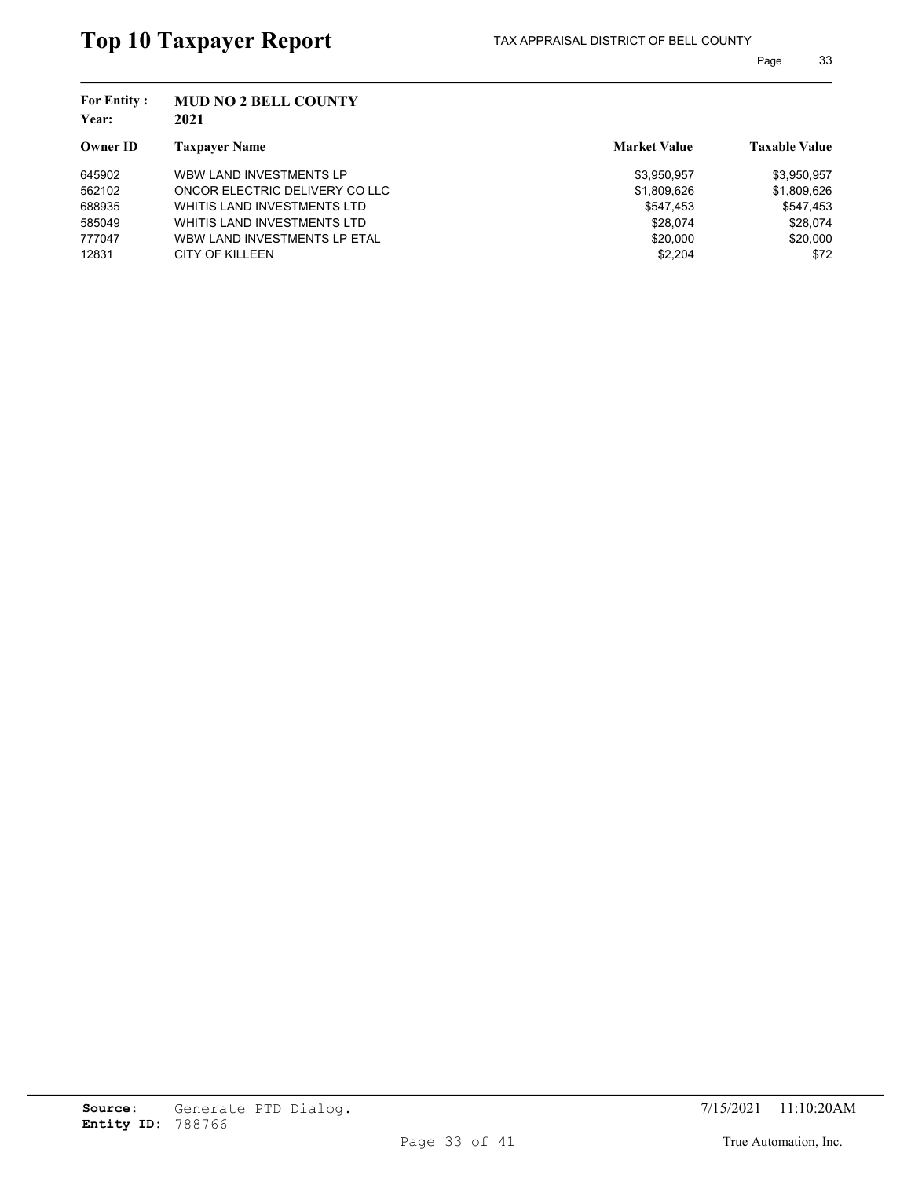| <b>For Entity:</b><br>Year: | <b>MUD NO 2 BELL COUNTY</b><br>2021 |                     |                      |
|-----------------------------|-------------------------------------|---------------------|----------------------|
| <b>Owner ID</b>             | <b>Taxpayer Name</b>                | <b>Market Value</b> | <b>Taxable Value</b> |
| 645902                      | WBW LAND INVESTMENTS LP             | \$3,950,957         | \$3,950,957          |
| 562102                      | ONCOR ELECTRIC DELIVERY CO LLC      | \$1,809,626         | \$1,809,626          |
| 688935                      | WHITIS LAND INVESTMENTS LTD         | \$547,453           | \$547,453            |
| 585049                      | WHITIS LAND INVESTMENTS LTD         | \$28,074            | \$28,074             |
| 777047                      | WBW LAND INVESTMENTS LP ETAL        | \$20,000            | \$20,000             |
| 12831                       | CITY OF KILLEEN                     | \$2,204             | \$72                 |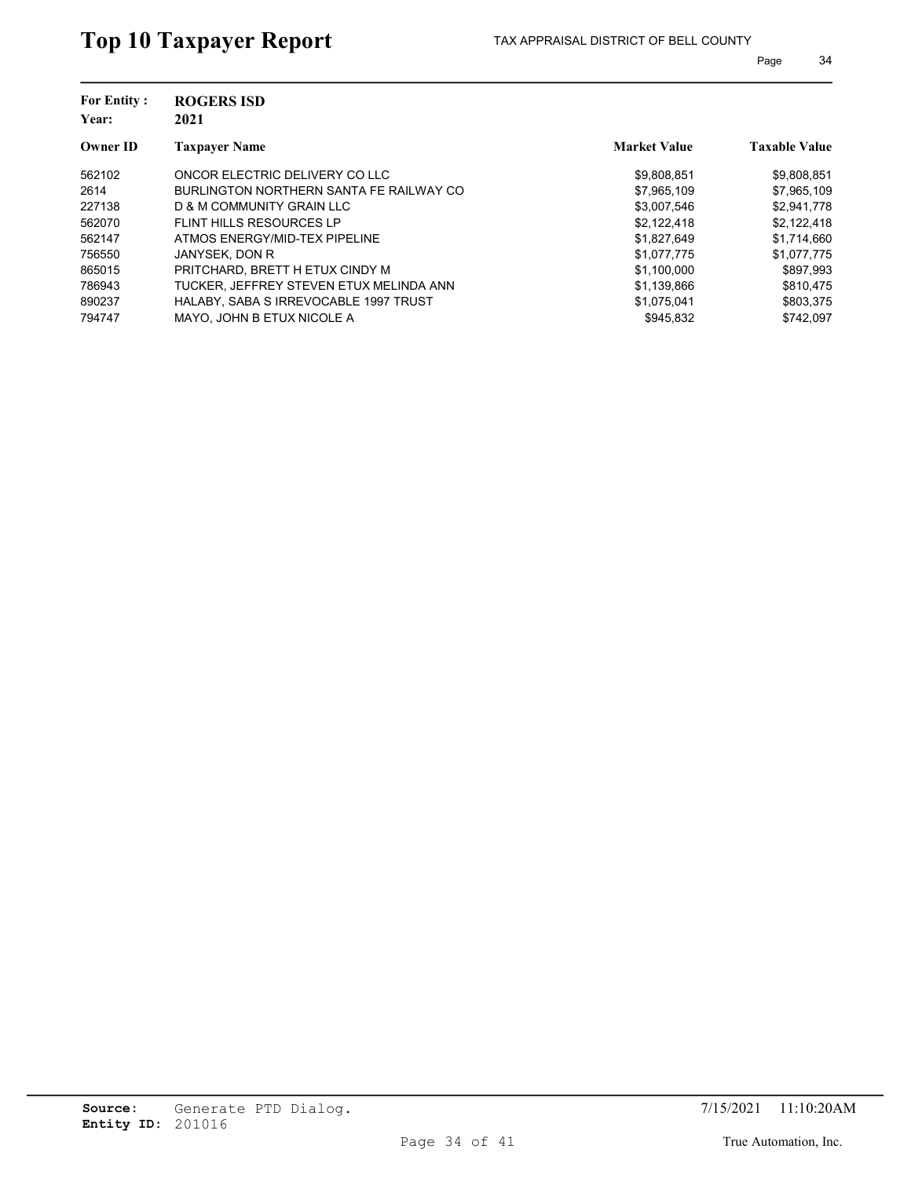| <b>For Entity:</b><br>Year: | <b>ROGERS ISD</b><br>2021               |                     |                      |
|-----------------------------|-----------------------------------------|---------------------|----------------------|
| <b>Owner ID</b>             | <b>Taxpayer Name</b>                    | <b>Market Value</b> | <b>Taxable Value</b> |
| 562102                      | ONCOR ELECTRIC DELIVERY CO LLC          | \$9,808,851         | \$9,808,851          |
| 2614                        | BURLINGTON NORTHERN SANTA FE RAILWAY CO | \$7,965,109         | \$7,965,109          |
| 227138                      | D & M COMMUNITY GRAIN LLC               | \$3,007,546         | \$2,941,778          |
| 562070                      | FLINT HILLS RESOURCES LP                | \$2,122,418         | \$2,122,418          |
| 562147                      | ATMOS ENERGY/MID-TEX PIPELINE           | \$1,827,649         | \$1,714,660          |
| 756550                      | JANYSEK, DON R                          | \$1.077.775         | \$1,077,775          |
| 865015                      | PRITCHARD. BRETT H ETUX CINDY M         | \$1.100.000         | \$897,993            |
| 786943                      | TUCKER. JEFFREY STEVEN ETUX MELINDA ANN | \$1.139.866         | \$810.475            |
| 890237                      | HALABY, SABA S IRREVOCABLE 1997 TRUST   | \$1,075,041         | \$803,375            |
| 794747                      | MAYO. JOHN B ETUX NICOLE A              | \$945.832           | \$742.097            |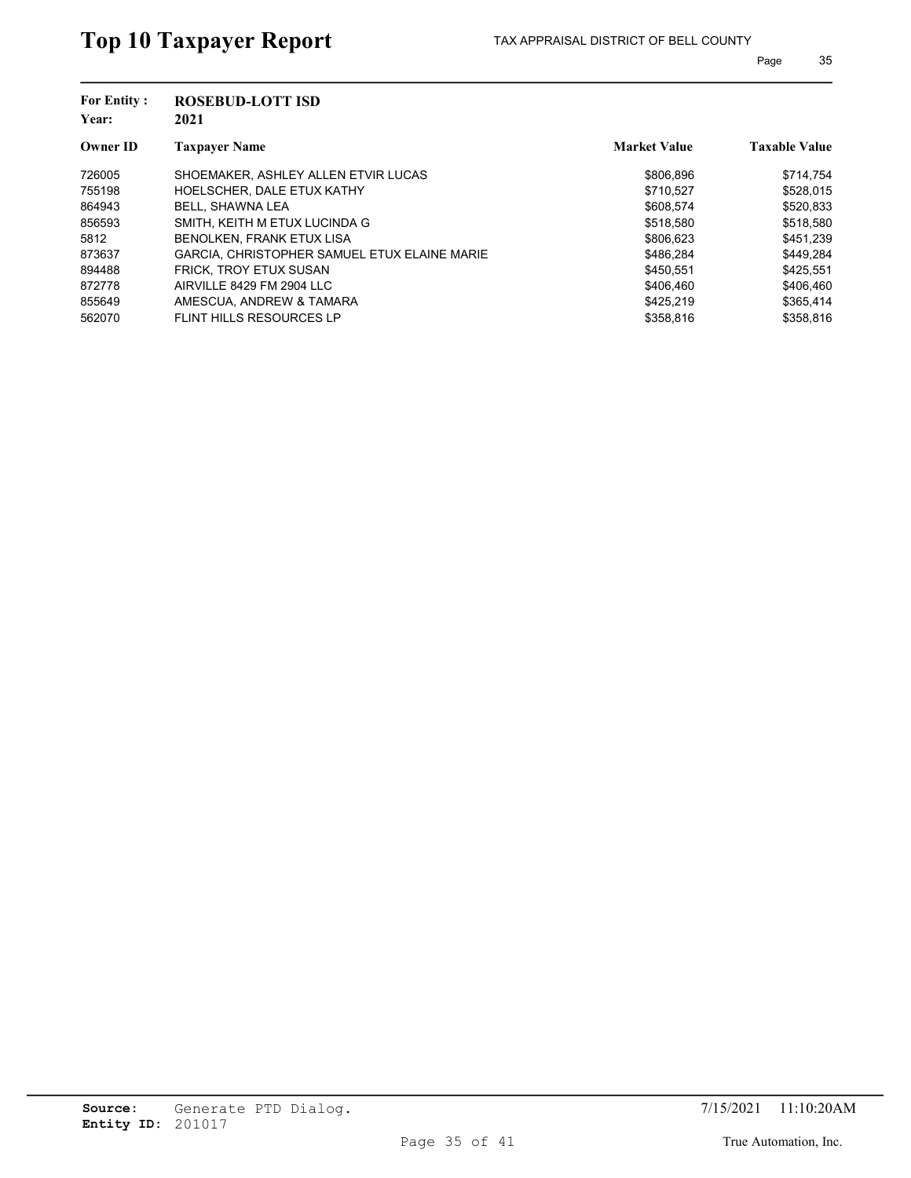| <b>For Entity:</b><br>Year: | <b>ROSEBUD-LOTT ISD</b><br>2021              |                     |                      |
|-----------------------------|----------------------------------------------|---------------------|----------------------|
| <b>Owner ID</b>             | <b>Taxpayer Name</b>                         | <b>Market Value</b> | <b>Taxable Value</b> |
| 726005                      | SHOEMAKER, ASHLEY ALLEN ETVIR LUCAS          | \$806,896           | \$714,754            |
| 755198                      | HOELSCHER, DALE ETUX KATHY                   | \$710,527           | \$528,015            |
| 864943                      | BELL, SHAWNA LEA                             | \$608.574           | \$520.833            |
| 856593                      | SMITH, KEITH M ETUX LUCINDA G                | \$518.580           | \$518,580            |
| 5812                        | BENOLKEN, FRANK ETUX LISA                    | \$806,623           | \$451,239            |
| 873637                      | GARCIA. CHRISTOPHER SAMUEL ETUX ELAINE MARIE | \$486.284           | \$449.284            |
| 894488                      | <b>FRICK. TROY ETUX SUSAN</b>                | \$450.551           | \$425,551            |
| 872778                      | AIRVILLE 8429 FM 2904 LLC                    | \$406.460           | \$406.460            |
| 855649                      | AMESCUA, ANDREW & TAMARA                     | \$425,219           | \$365,414            |
| 562070                      | FLINT HILLS RESOURCES LP                     | \$358,816           | \$358.816            |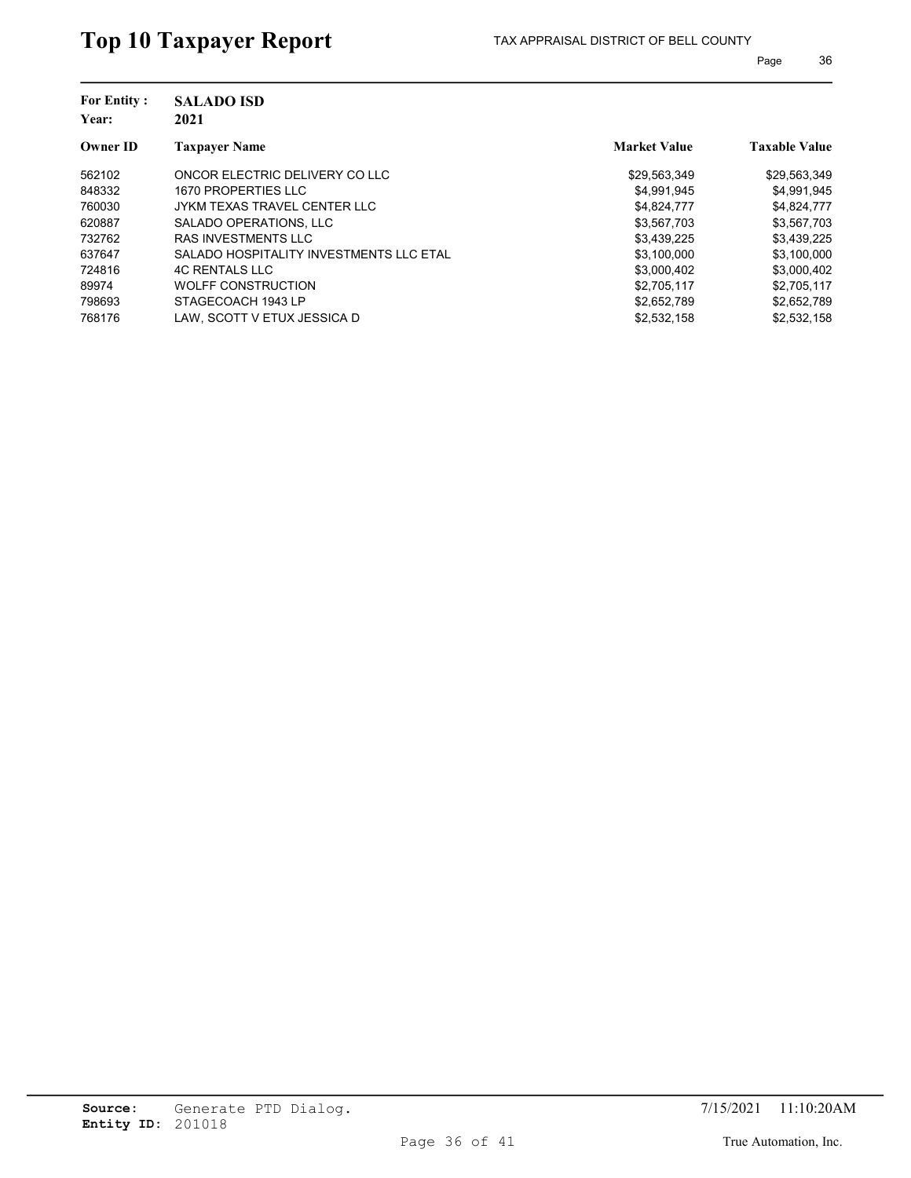| <b>For Entity:</b><br>Year: | <b>SALADO ISD</b><br>2021               |                     |                      |
|-----------------------------|-----------------------------------------|---------------------|----------------------|
| <b>Owner ID</b>             | <b>Taxpayer Name</b>                    | <b>Market Value</b> | <b>Taxable Value</b> |
| 562102                      | ONCOR ELECTRIC DELIVERY CO LLC          | \$29,563,349        | \$29,563,349         |
| 848332                      | 1670 PROPERTIES LLC                     | \$4,991,945         | \$4,991,945          |
| 760030                      | JYKM TEXAS TRAVEL CENTER LLC            | \$4,824,777         | \$4,824,777          |
| 620887                      | SALADO OPERATIONS, LLC                  | \$3,567,703         | \$3,567,703          |
| 732762                      | <b>RAS INVESTMENTS LLC</b>              | \$3,439,225         | \$3,439,225          |
| 637647                      | SALADO HOSPITALITY INVESTMENTS LLC ETAL | \$3,100,000         | \$3,100,000          |
| 724816                      | <b>4C RENTALS LLC</b>                   | \$3,000,402         | \$3,000,402          |
| 89974                       | <b>WOLFF CONSTRUCTION</b>               | \$2,705,117         | \$2,705,117          |
| 798693                      | STAGECOACH 1943 LP                      | \$2,652,789         | \$2,652,789          |
| 768176                      | LAW. SCOTT V ETUX JESSICA D             | \$2,532,158         | \$2,532,158          |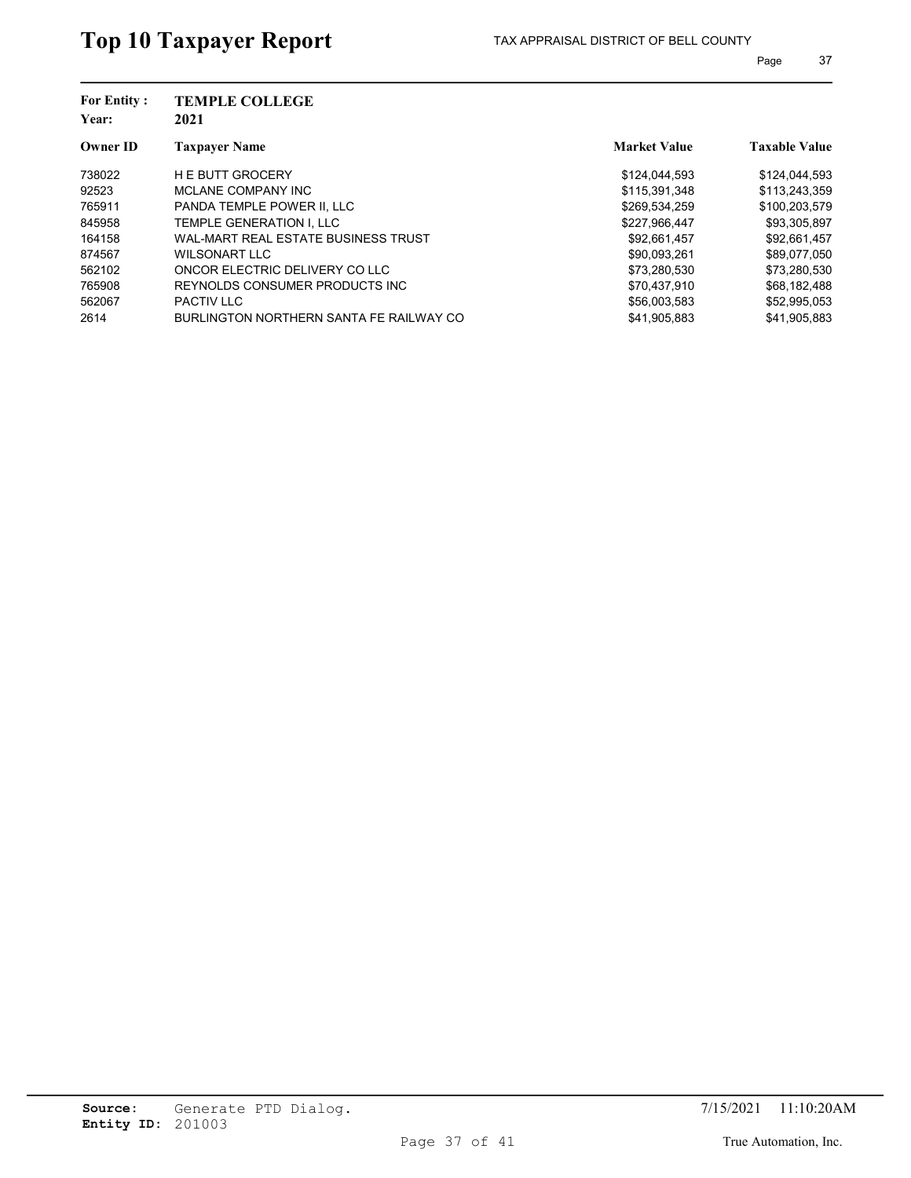| <b>For Entity:</b><br>Year: | <b>TEMPLE COLLEGE</b><br>2021           |                     |                      |
|-----------------------------|-----------------------------------------|---------------------|----------------------|
| <b>Owner ID</b>             | <b>Taxpayer Name</b>                    | <b>Market Value</b> | <b>Taxable Value</b> |
| 738022                      | <b>H E BUTT GROCERY</b>                 | \$124,044,593       | \$124,044,593        |
| 92523                       | MCLANE COMPANY INC                      | \$115,391,348       | \$113,243,359        |
| 765911                      | PANDA TEMPLE POWER II. LLC              | \$269,534,259       | \$100,203,579        |
| 845958                      | TEMPLE GENERATION I. LLC                | \$227,966,447       | \$93,305,897         |
| 164158                      | WAL-MART REAL ESTATE BUSINESS TRUST     | \$92,661,457        | \$92,661,457         |
| 874567                      | WILSONART LLC                           | \$90,093,261        | \$89,077,050         |
| 562102                      | ONCOR ELECTRIC DELIVERY CO LLC          | \$73,280,530        | \$73,280,530         |
| 765908                      | REYNOLDS CONSUMER PRODUCTS INC.         | \$70.437.910        | \$68,182,488         |
| 562067                      | <b>PACTIV LLC</b>                       | \$56,003.583        | \$52,995,053         |
| 2614                        | BURLINGTON NORTHERN SANTA FE RAILWAY CO | \$41.905.883        | \$41.905.883         |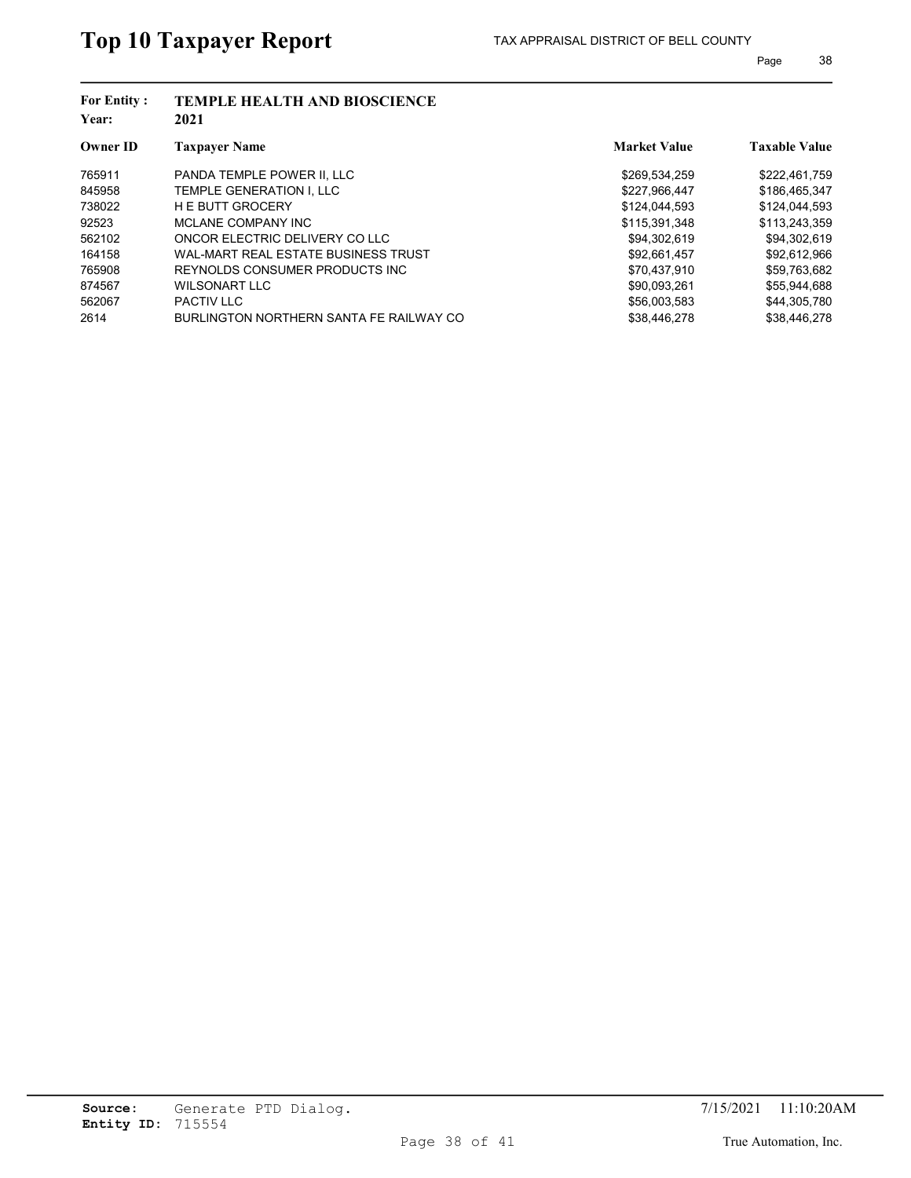| <b>For Entity:</b><br>Year: | <b>TEMPLE HEALTH AND BIOSCIENCE</b><br>2021 |                     |                      |
|-----------------------------|---------------------------------------------|---------------------|----------------------|
| <b>Owner ID</b>             | <b>Taxpayer Name</b>                        | <b>Market Value</b> | <b>Taxable Value</b> |
| 765911                      | PANDA TEMPLE POWER II. LLC                  | \$269,534,259       | \$222,461,759        |
| 845958                      | TEMPLE GENERATION I. LLC                    | \$227,966,447       | \$186,465,347        |
| 738022                      | <b>HE BUTT GROCERY</b>                      | \$124,044.593       | \$124,044,593        |
| 92523                       | MCLANE COMPANY INC                          | \$115,391,348       | \$113,243,359        |
| 562102                      | ONCOR ELECTRIC DELIVERY CO LLC              | \$94,302,619        | \$94,302,619         |
| 164158                      | WAL-MART REAL ESTATE BUSINESS TRUST         | \$92,661,457        | \$92,612,966         |
| 765908                      | REYNOLDS CONSUMER PRODUCTS INC.             | \$70.437.910        | \$59,763,682         |
| 874567                      | WILSONART LLC                               | \$90.093.261        | \$55.944.688         |
| 562067                      | <b>PACTIV LLC</b>                           | \$56,003,583        | \$44,305,780         |
| 2614                        | BURLINGTON NORTHERN SANTA FE RAILWAY CO     | \$38.446.278        | \$38.446.278         |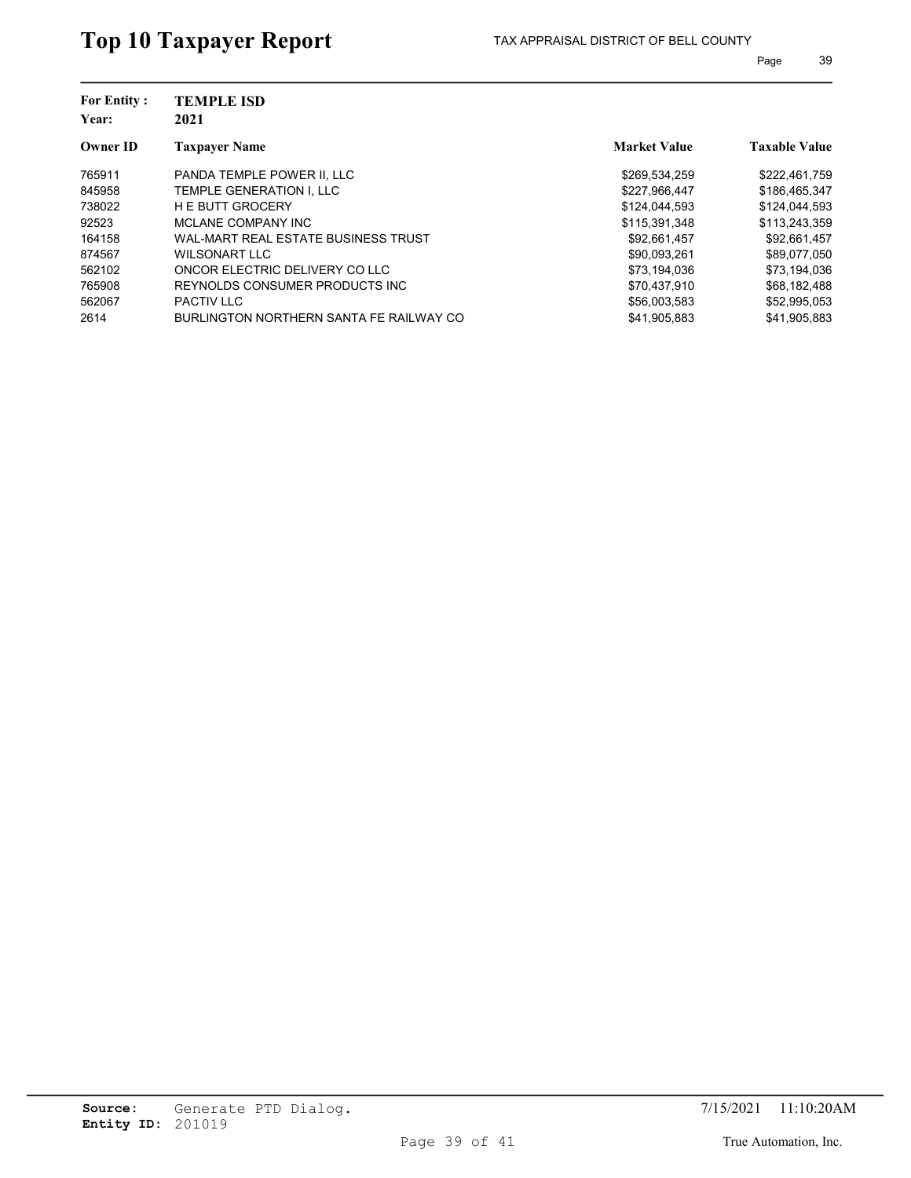| <b>For Entity:</b><br>Year: | <b>TEMPLE ISD</b><br>2021               |                     |                      |
|-----------------------------|-----------------------------------------|---------------------|----------------------|
| <b>Owner ID</b>             | <b>Taxpayer Name</b>                    | <b>Market Value</b> | <b>Taxable Value</b> |
| 765911                      | PANDA TEMPLE POWER II. LLC              | \$269,534,259       | \$222,461,759        |
| 845958                      | TEMPLE GENERATION I. LLC                | \$227,966,447       | \$186,465,347        |
| 738022                      | <b>HE BUTT GROCERY</b>                  | \$124,044,593       | \$124,044,593        |
| 92523                       | MCLANE COMPANY INC                      | \$115,391,348       | \$113,243,359        |
| 164158                      | WAL-MART REAL ESTATE BUSINESS TRUST     | \$92,661,457        | \$92,661,457         |
| 874567                      | WILSONART LLC                           | \$90,093,261        | \$89,077,050         |
| 562102                      | ONCOR ELECTRIC DELIVERY CO LLC          | \$73,194,036        | \$73,194,036         |
| 765908                      | REYNOLDS CONSUMER PRODUCTS INC.         | \$70.437.910        | \$68,182,488         |
| 562067                      | <b>PACTIV LLC</b>                       | \$56,003,583        | \$52,995,053         |
| 2614                        | BURLINGTON NORTHERN SANTA FE RAILWAY CO | \$41,905,883        | \$41,905,883         |
|                             |                                         |                     |                      |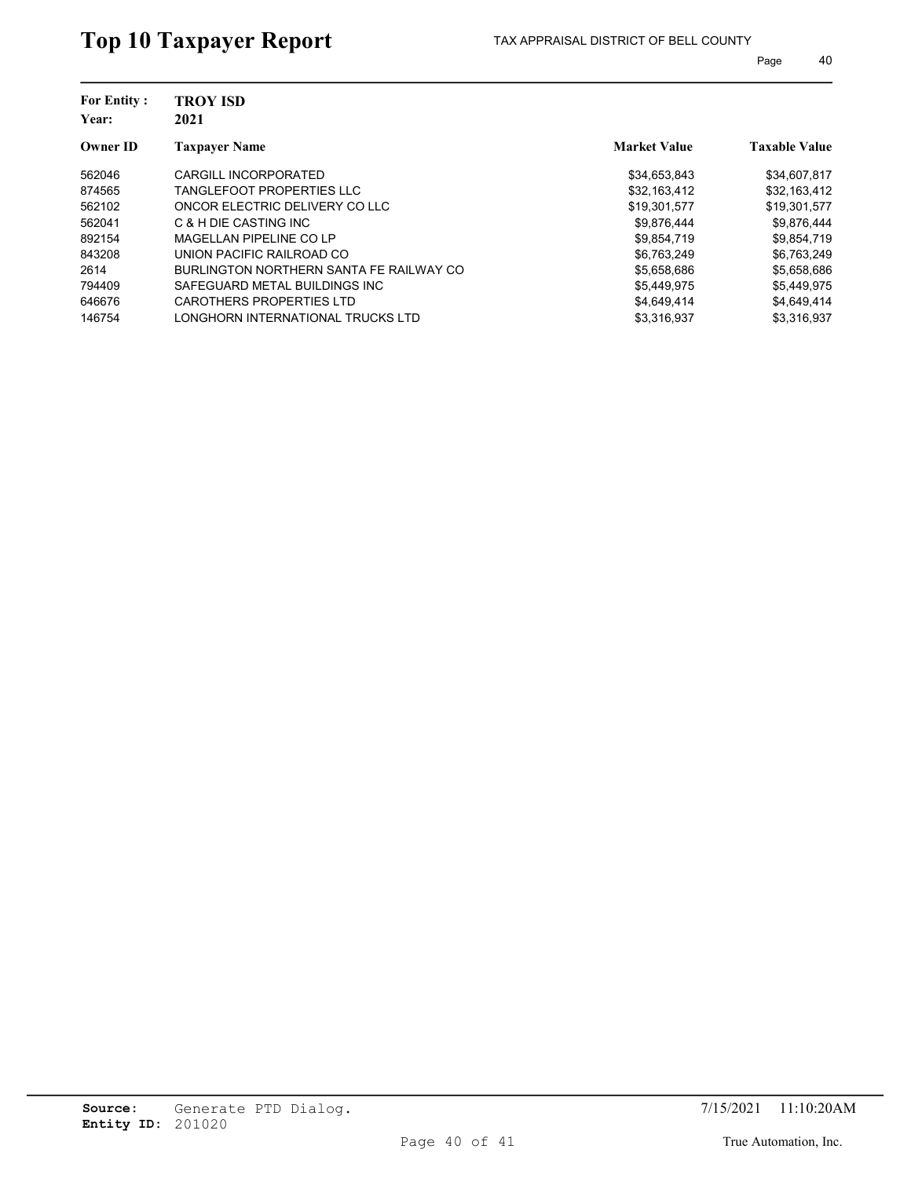| <b>TROY ISD</b><br>2021                 |                     |                      |
|-----------------------------------------|---------------------|----------------------|
| <b>Taxpayer Name</b>                    | <b>Market Value</b> | <b>Taxable Value</b> |
| CARGILL INCORPORATED                    | \$34,653,843        | \$34,607,817         |
| <b>TANGLEFOOT PROPERTIES LLC</b>        | \$32,163,412        | \$32,163,412         |
| ONCOR ELECTRIC DELIVERY CO LLC          | \$19,301,577        | \$19,301,577         |
| C & H DIE CASTING INC                   | \$9,876,444         | \$9,876,444          |
| MAGELLAN PIPELINE CO LP                 | \$9,854,719         | \$9,854,719          |
| UNION PACIFIC RAILROAD CO               | \$6,763,249         | \$6,763,249          |
| BURLINGTON NORTHERN SANTA FE RAILWAY CO | \$5,658,686         | \$5,658,686          |
| SAFEGUARD METAL BUILDINGS INC           | \$5.449.975         | \$5,449,975          |
| CAROTHERS PROPERTIES LTD                | \$4,649,414         | \$4,649,414          |
| LONGHORN INTERNATIONAL TRUCKS LTD       | \$3.316.937         | \$3.316.937          |
|                                         |                     |                      |